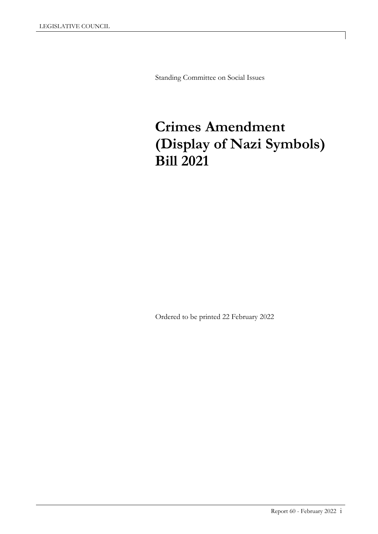Standing Committee on Social Issues

# **Crimes Amendment (Display of Nazi Symbols) Bill 2021**

Ordered to be printed 22 February 2022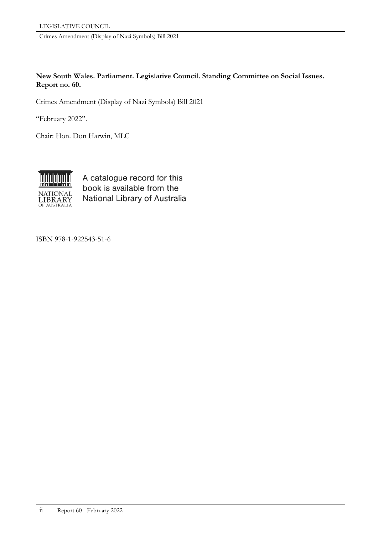# **New South Wales. Parliament. Legislative Council. Standing Committee on Social Issues. Report no. 60.**

Crimes Amendment (Display of Nazi Symbols) Bill 2021

"February 2022".

Chair: Hon. Don Harwin, MLC



A catalogue record for this book is available from the National Library of Australia

ISBN 978-1-922543-51-6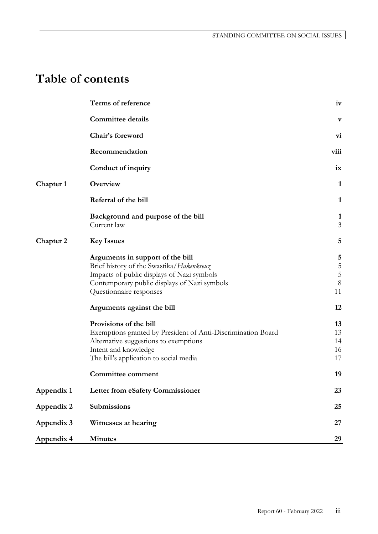# **Table of contents**

|            | Terms of reference                                                                                                                                                                                    | iv                         |
|------------|-------------------------------------------------------------------------------------------------------------------------------------------------------------------------------------------------------|----------------------------|
|            | <b>Committee details</b>                                                                                                                                                                              | $\mathbf{V}$               |
|            | Chair's foreword                                                                                                                                                                                      | vi                         |
|            | Recommendation                                                                                                                                                                                        | viii                       |
|            | Conduct of inquiry                                                                                                                                                                                    | ix                         |
| Chapter 1  | Overview                                                                                                                                                                                              | $\mathbf{1}$               |
|            | Referral of the bill                                                                                                                                                                                  | 1                          |
|            | Background and purpose of the bill<br>Current law                                                                                                                                                     | 1<br>$\mathfrak{Z}$        |
| Chapter 2  | <b>Key Issues</b>                                                                                                                                                                                     | 5                          |
|            | Arguments in support of the bill<br>Brief history of the Swastika/Hakenkreuz<br>Impacts of public displays of Nazi symbols<br>Contemporary public displays of Nazi symbols<br>Questionnaire responses | 5<br>5<br>5<br>8<br>11     |
|            | Arguments against the bill                                                                                                                                                                            | 12                         |
|            | Provisions of the bill<br>Exemptions granted by President of Anti-Discrimination Board<br>Alternative suggestions to exemptions<br>Intent and knowledge<br>The bill's application to social media     | 13<br>13<br>14<br>16<br>17 |
|            | <b>Committee comment</b>                                                                                                                                                                              | 19                         |
| Appendix 1 | <b>Letter from eSafety Commissioner</b>                                                                                                                                                               | 23                         |
| Appendix 2 | Submissions                                                                                                                                                                                           | 25                         |
| Appendix 3 | Witnesses at hearing                                                                                                                                                                                  | 27                         |
| Appendix 4 | <b>Minutes</b>                                                                                                                                                                                        | 29                         |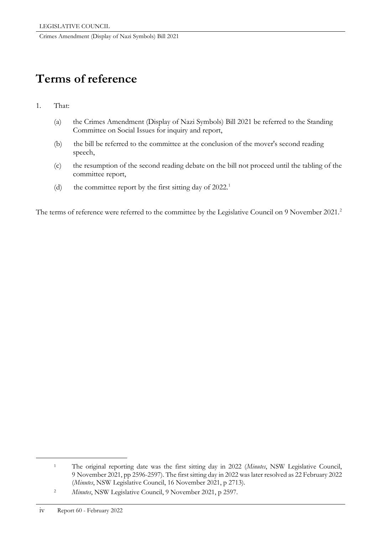# **Terms of reference**

- 1. That:
	- (a) the Crimes Amendment (Display of Nazi Symbols) Bill 2021 be referred to the Standing Committee on Social Issues for inquiry and report,
	- (b) the bill be referred to the committee at the conclusion of the mover's second reading speech,
	- (c) the resumption of the second reading debate on the bill not proceed until the tabling of the committee report,
	- (d) the committee report by the first sitting day of  $2022$ <sup>[1](#page-3-0)</sup>

The terms of reference were referred to the committee by the Legislative Council on 9 November [2](#page-3-1)021.<sup>2</sup>

<span id="page-3-1"></span><span id="page-3-0"></span>1

<sup>1</sup> The original reporting date was the first sitting day in 2022 (*Minutes*, NSW Legislative Council, 9 November 2021, pp 2596-2597). The first sitting day in 2022 was later resolved as 22 February 2022 (*Minutes*, NSW Legislative Council, 16 November 2021, p 2713).

<sup>2</sup> *Minutes*, NSW Legislative Council, 9 November 2021, p 2597.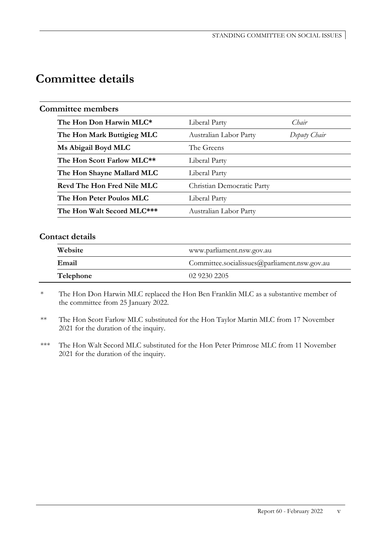# **Committee details**

| <b>Committee members</b>   |                            |              |  |
|----------------------------|----------------------------|--------------|--|
| The Hon Don Harwin MLC*    | Liberal Party              | Chair        |  |
| The Hon Mark Buttigieg MLC | Australian Labor Party     | Deputy Chair |  |
| Ms Abigail Boyd MLC        | The Greens                 |              |  |
| The Hon Scott Farlow MLC** | Liberal Party              |              |  |
| The Hon Shayne Mallard MLC | Liberal Party              |              |  |
| Revd The Hon Fred Nile MLC | Christian Democratic Party |              |  |
| The Hon Peter Poulos MLC   | Liberal Party              |              |  |
| The Hon Walt Secord MLC*** | Australian Labor Party     |              |  |

# **Contact details**

| Website   | www.parliament.nsw.gov.au                    |
|-----------|----------------------------------------------|
| Email     | Committee.socialissues@parliament.nsw.gov.au |
| Telephone | 02 9230 2205                                 |

- \* The Hon Don Harwin MLC replaced the Hon Ben Franklin MLC as a substantive member of the committee from 25 January 2022.
- \*\* The Hon Scott Farlow MLC substituted for the Hon Taylor Martin MLC from 17 November 2021 for the duration of the inquiry.
- \*\*\* The Hon Walt Secord MLC substituted for the Hon Peter Primrose MLC from 11 November 2021 for the duration of the inquiry.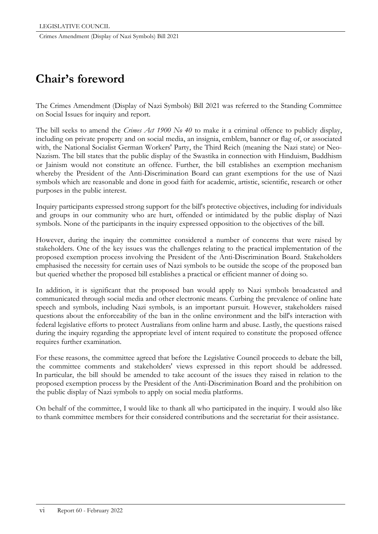# **Chair's foreword**

The Crimes Amendment (Display of Nazi Symbols) Bill 2021 was referred to the Standing Committee on Social Issues for inquiry and report.

The bill seeks to amend the *Crimes Act 1900 No 40* to make it a criminal offence to publicly display, including on private property and on social media, an insignia, emblem, banner or flag of, or associated with, the National Socialist German Workers' Party, the Third Reich (meaning the Nazi state) or Neo-Nazism. The bill states that the public display of the Swastika in connection with Hinduism, Buddhism or Jainism would not constitute an offence. Further, the bill establishes an exemption mechanism whereby the President of the Anti-Discrimination Board can grant exemptions for the use of Nazi symbols which are reasonable and done in good faith for academic, artistic, scientific, research or other purposes in the public interest.

Inquiry participants expressed strong support for the bill's protective objectives, including for individuals and groups in our community who are hurt, offended or intimidated by the public display of Nazi symbols. None of the participants in the inquiry expressed opposition to the objectives of the bill.

However, during the inquiry the committee considered a number of concerns that were raised by stakeholders. One of the key issues was the challenges relating to the practical implementation of the proposed exemption process involving the President of the Anti-Discrimination Board. Stakeholders emphasised the necessity for certain uses of Nazi symbols to be outside the scope of the proposed ban but queried whether the proposed bill establishes a practical or efficient manner of doing so.

In addition, it is significant that the proposed ban would apply to Nazi symbols broadcasted and communicated through social media and other electronic means. Curbing the prevalence of online hate speech and symbols, including Nazi symbols, is an important pursuit. However, stakeholders raised questions about the enforceability of the ban in the online environment and the bill's interaction with federal legislative efforts to protect Australians from online harm and abuse. Lastly, the questions raised during the inquiry regarding the appropriate level of intent required to constitute the proposed offence requires further examination.

For these reasons, the committee agreed that before the Legislative Council proceeds to debate the bill, the committee comments and stakeholders' views expressed in this report should be addressed. In particular, the bill should be amended to take account of the issues they raised in relation to the proposed exemption process by the President of the Anti-Discrimination Board and the prohibition on the public display of Nazi symbols to apply on social media platforms.

On behalf of the committee, I would like to thank all who participated in the inquiry. I would also like to thank committee members for their considered contributions and the secretariat for their assistance.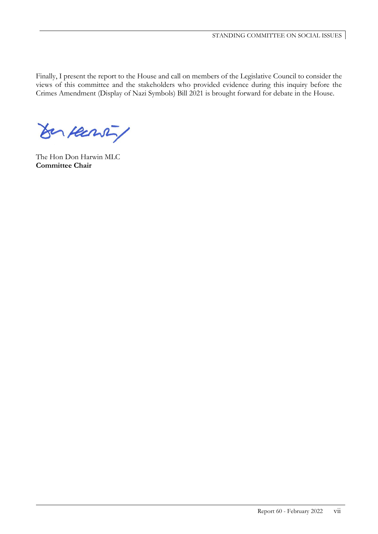Finally, I present the report to the House and call on members of the Legislative Council to consider the views of this committee and the stakeholders who provided evidence during this inquiry before the Crimes Amendment (Display of Nazi Symbols) Bill 2021 is brought forward for debate in the House.

on Hersty

The Hon Don Harwin MLC **Committee Chair**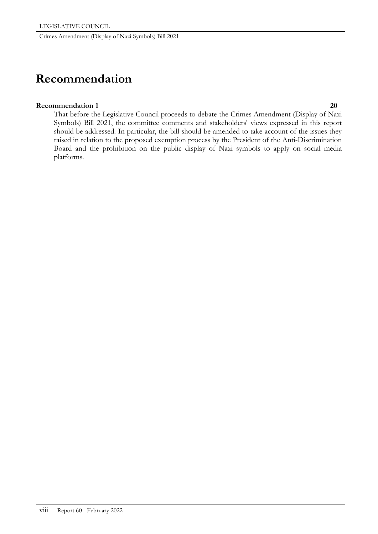# **Recommendation**

## **Recommendation 1 20**

That before the Legislative Council proceeds to debate the Crimes Amendment (Display of Nazi Symbols) Bill 2021, the committee comments and stakeholders' views expressed in this report should be addressed. In particular, the bill should be amended to take account of the issues they raised in relation to the proposed exemption process by the President of the Anti-Discrimination Board and the prohibition on the public display of Nazi symbols to apply on social media platforms.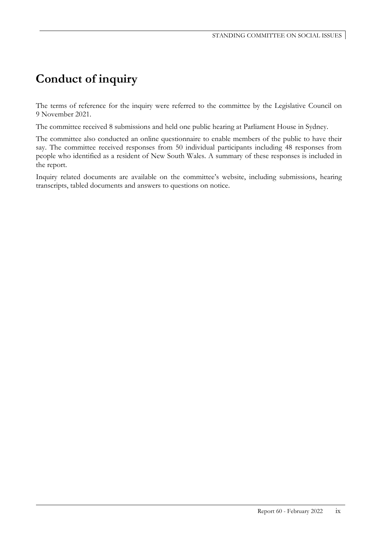# **Conduct of inquiry**

The terms of reference for the inquiry were referred to the committee by the Legislative Council on 9 November 2021.

The committee received 8 submissions and held one public hearing at Parliament House in Sydney.

The committee also conducted an online questionnaire to enable members of the public to have their say. The committee received responses from 50 individual participants including 48 responses from people who identified as a resident of New South Wales. A summary of these responses is included in the report.

Inquiry related documents are available on the committee's website, including submissions, hearing transcripts, tabled documents and answers to questions on notice.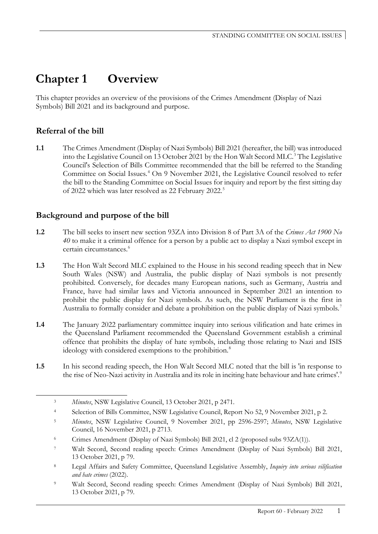# **Chapter 1 Overview**

This chapter provides an overview of the provisions of the Crimes Amendment (Display of Nazi Symbols) Bill 2021 and its background and purpose.

# **Referral of the bill**

**1.1** The Crimes Amendment (Display of Nazi Symbols) Bill 2021 (hereafter, the bill) was introduced into the Legislative Council on 1[3](#page-10-0) October 2021 by the Hon Walt Secord MLC.<sup>3</sup> The Legislative Council's Selection of Bills Committee recommended that the bill be referred to the Standing Committee on Social Issues.[4](#page-10-1) On 9 November 2021, the Legislative Council resolved to refer the bill to the Standing Committee on Social Issues for inquiry and report by the first sitting day of 2022 which was later resolved as 22 February 2022.[5](#page-10-2)

# **Background and purpose of the bill**

- **1.2** The bill seeks to insert new section 93ZA into Division 8 of Part 3A of the *Crimes Act 1900 No 40* to make it a criminal offence for a person by a public act to display a Nazi symbol except in certain circumstances.[6](#page-10-3)
- **1.3** The Hon Walt Secord MLC explained to the House in his second reading speech that in New South Wales (NSW) and Australia, the public display of Nazi symbols is not presently prohibited. Conversely, for decades many European nations, such as Germany, Austria and France, have had similar laws and Victoria announced in September 2021 an intention to prohibit the public display for Nazi symbols. As such, the NSW Parliament is the first in Australia to formally consider and debate a prohibition on the public display of Nazi symbols.<sup>[7](#page-10-4)</sup>
- **1.4** The January 2022 parliamentary committee inquiry into serious vilification and hate crimes in the Queensland Parliament recommended the Queensland Government establish a criminal offence that prohibits the display of hate symbols, including those relating to Nazi and ISIS ideology with considered exemptions to the prohibition.<sup>[8](#page-10-5)</sup>
- <span id="page-10-0"></span>**1.5** In his second reading speech, the Hon Walt Secord MLC noted that the bill is 'in response to the rise of Neo-Nazi activity in Australia and its role in inciting hate behaviour and hate crimes'.<sup>[9](#page-10-6)</sup>

 <sup>3</sup> *Minutes*, NSW Legislative Council, 13 October 2021, p 2471.

<span id="page-10-1"></span><sup>4</sup> Selection of Bills Committee, NSW Legislative Council, Report No 52, 9 November 2021, p 2.

<span id="page-10-2"></span><sup>5</sup> *Minutes*, NSW Legislative Council, 9 November 2021, pp 2596-2597; *Minutes*, NSW Legislative Council, 16 November 2021, p 2713.

<span id="page-10-4"></span><span id="page-10-3"></span><sup>6</sup> Crimes Amendment (Display of Nazi Symbols) Bill 2021, cl 2 (proposed subs 93ZA(1)).

<sup>7</sup> Walt Secord, Second reading speech: Crimes Amendment (Display of Nazi Symbols) Bill 2021, 13 October 2021, p 79.

<span id="page-10-5"></span><sup>8</sup> Legal Affairs and Safety Committee, Queensland Legislative Assembly, *Inquiry into serious vilification and hate crimes* (2022).

<span id="page-10-6"></span><sup>9</sup> Walt Secord, Second reading speech: Crimes Amendment (Display of Nazi Symbols) Bill 2021, 13 October 2021, p 79.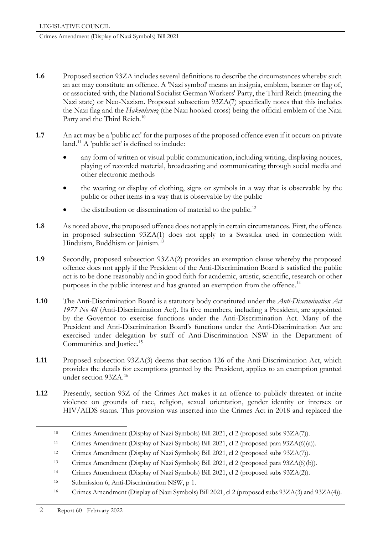- **1.6** Proposed section 93ZA includes several definitions to describe the circumstances whereby such an act may constitute an offence. A 'Nazi symbol' means an insignia, emblem, banner or flag of, or associated with, the National Socialist German Workers' Party, the Third Reich (meaning the Nazi state) or Neo-Nazism. Proposed subsection 93ZA(7) specifically notes that this includes the Nazi flag and the *Hakenkruez* (the Nazi hooked cross) being the official emblem of the Nazi Party and the Third Reich.<sup>[10](#page-11-0)</sup>
- **1.7** An act may be a 'public act' for the purposes of the proposed offence even if it occurs on private land. [11](#page-11-1) A 'public act' is defined to include:
	- any form of written or visual public communication, including writing, displaying notices, playing of recorded material, broadcasting and communicating through social media and other electronic methods
	- the wearing or display of clothing, signs or symbols in a way that is observable by the public or other items in a way that is observable by the public
	- the distribution or dissemination of material to the public.<sup>[12](#page-11-2)</sup>
- **1.8** As noted above, the proposed offence does not apply in certain circumstances. First, the offence in proposed subsection 93ZA(1) does not apply to a Swastika used in connection with Hinduism, Buddhism or Jainism.<sup>[13](#page-11-3)</sup>
- **1.9** Secondly, proposed subsection 93ZA(2) provides an exemption clause whereby the proposed offence does not apply if the President of the Anti-Discrimination Board is satisfied the public act is to be done reasonably and in good faith for academic, artistic, scientific, research or other purposes in the public interest and has granted an exemption from the offence.[14](#page-11-4)
- **1.10** The Anti-Discrimination Board is a statutory body constituted under the *Anti-Discrimination Act 1977 No 48* (Anti-Discrimination Act). Its five members, including a President, are appointed by the Governor to exercise functions under the Anti-Discrimination Act. Many of the President and Anti-Discrimination Board's functions under the Anti-Discrimination Act are exercised under delegation by staff of Anti-Discrimination NSW in the Department of Communities and Justice. [15](#page-11-5)
- **1.11** Proposed subsection 93ZA(3) deems that section 126 of the Anti-Discrimination Act, which provides the details for exemptions granted by the President, applies to an exemption granted under section 93ZA.[16](#page-11-6)
- **1.12** Presently, section 93Z of the Crimes Act makes it an offence to publicly threaten or incite violence on grounds of race, religion, sexual orientation, gender identity or intersex or HIV/AIDS status. This provision was inserted into the Crimes Act in 2018 and replaced the

<span id="page-11-2"></span><sup>12</sup> Crimes Amendment (Display of Nazi Symbols) Bill 2021, cl 2 (proposed subs 93ZA(7)).

<span id="page-11-4"></span><sup>14</sup> Crimes Amendment (Display of Nazi Symbols) Bill 2021, cl 2 (proposed subs 93ZA(2)).

<span id="page-11-6"></span><sup>16</sup> Crimes Amendment (Display of Nazi Symbols) Bill 2021, cl 2 (proposed subs 93ZA(3) and 93ZA(4)).

<span id="page-11-0"></span> <sup>10</sup> Crimes Amendment (Display of Nazi Symbols) Bill 2021, cl 2 (proposed subs 93ZA(7)).

<span id="page-11-1"></span><sup>11</sup> Crimes Amendment (Display of Nazi Symbols) Bill 2021, cl 2 (proposed para 93ZA(6)(a)).

<span id="page-11-3"></span><sup>13</sup> Crimes Amendment (Display of Nazi Symbols) Bill 2021, cl 2 (proposed para 93ZA(6)(b)).

<span id="page-11-5"></span><sup>15</sup> Submission 6, Anti-Discrimination NSW, p 1.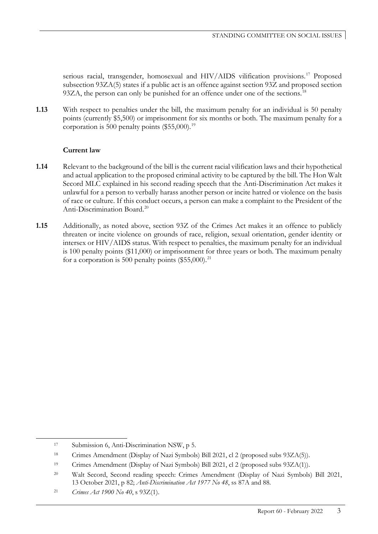serious racial, transgender, homosexual and HIV/AIDS vilification provisions.<sup>[17](#page-12-0)</sup> Proposed subsection 93ZA(5) states if a public act is an offence against section 93Z and proposed section 93ZA, the person can only be punished for an offence under one of the sections.<sup>[18](#page-12-1)</sup>

**1.13** With respect to penalties under the bill, the maximum penalty for an individual is 50 penalty points (currently \$5,500) or imprisonment for six months or both. The maximum penalty for a corporation is 500 penalty points  $(\$55,000).^{19}$  $(\$55,000).^{19}$  $(\$55,000).^{19}$ 

# **Current law**

- **1.14** Relevant to the background of the bill is the current racial vilification laws and their hypothetical and actual application to the proposed criminal activity to be captured by the bill. The Hon Walt Secord MLC explained in his second reading speech that the Anti-Discrimination Act makes it unlawful for a person to verbally harass another person or incite hatred or violence on the basis of race or culture. If this conduct occurs, a person can make a complaint to the President of the Anti-Discrimination Board.<sup>[20](#page-12-3)</sup>
- **1.15** Additionally, as noted above, section 93Z of the Crimes Act makes it an offence to publicly threaten or incite violence on grounds of race, religion, sexual orientation, gender identity or intersex or HIV/AIDS status. With respect to penalties, the maximum penalty for an individual is 100 penalty points (\$11,000) or imprisonment for three years or both. The maximum penalty for a corporation is 500 penalty points  $(\$55,000).^{21}$

<span id="page-12-0"></span> <sup>17</sup> Submission 6, Anti-Discrimination NSW, p 5.

<span id="page-12-1"></span><sup>18</sup> Crimes Amendment (Display of Nazi Symbols) Bill 2021, cl 2 (proposed subs 93ZA(5)).

<span id="page-12-2"></span><sup>19</sup> Crimes Amendment (Display of Nazi Symbols) Bill 2021, cl 2 (proposed subs 93ZA(1)).

<span id="page-12-3"></span><sup>20</sup> Walt Secord, Second reading speech: Crimes Amendment (Display of Nazi Symbols) Bill 2021, 13 October 2021, p 82; *Anti-Discrimination Act 1977 No 48*, ss 87A and 88.

<span id="page-12-4"></span><sup>21</sup> *Crimes Act 1900 No 40*, s 93Z(1).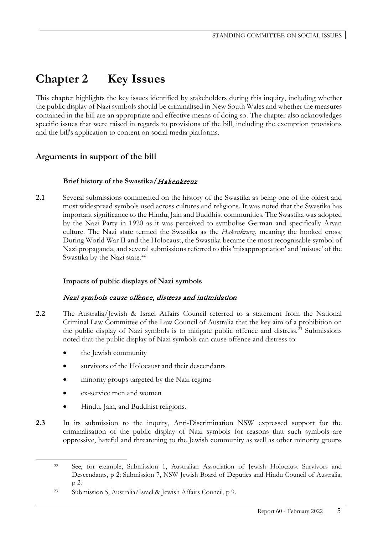# **Chapter 2 Key Issues**

This chapter highlights the key issues identified by stakeholders during this inquiry, including whether the public display of Nazi symbols should be criminalised in New South Wales and whether the measures contained in the bill are an appropriate and effective means of doing so. The chapter also acknowledges specific issues that were raised in regards to provisions of the bill, including the exemption provisions and the bill's application to content on social media platforms.

# **Arguments in support of the bill**

# **Brief history of the Swastika/**Hakenkreuz

**2.1** Several submissions commented on the history of the Swastika as being one of the oldest and most widespread symbols used across cultures and religions. It was noted that the Swastika has important significance to the Hindu, Jain and Buddhist communities. The Swastika was adopted by the Nazi Party in 1920 as it was perceived to symbolise German and specifically Aryan culture. The Nazi state termed the Swastika as the *Hakenkruez*, meaning the hooked cross. During World War II and the Holocaust, the Swastika became the most recognisable symbol of Nazi propaganda, and several submissions referred to this 'misappropriation' and 'misuse' of the Swastika by the Nazi state.<sup>[22](#page-14-0)</sup>

# **Impacts of public displays of Nazi symbols**

# Nazi symbols cause offence, distress and intimidation

- **2.2** The Australia/Jewish & Israel Affairs Council referred to a statement from the National Criminal Law Committee of the Law Council of Australia that the key aim of a prohibition on the public display of Nazi symbols is to mitigate public offence and distress.<sup>[23](#page-14-1)</sup> Submissions noted that the public display of Nazi symbols can cause offence and distress to:
	- the Jewish community
	- survivors of the Holocaust and their descendants
	- minority groups targeted by the Nazi regime
	- ex-service men and women
	- Hindu, Jain, and Buddhist religions.
- **2.3** In its submission to the inquiry, Anti-Discrimination NSW expressed support for the criminalisation of the public display of Nazi symbols for reasons that such symbols are oppressive, hateful and threatening to the Jewish community as well as other minority groups

<span id="page-14-0"></span> <sup>22</sup> See, for example, Submission 1, Australian Association of Jewish Holocaust Survivors and Descendants, p 2; Submission 7, NSW Jewish Board of Deputies and Hindu Council of Australia, p 2.

<span id="page-14-1"></span><sup>23</sup> Submission 5, Australia/Israel & Jewish Affairs Council, p 9.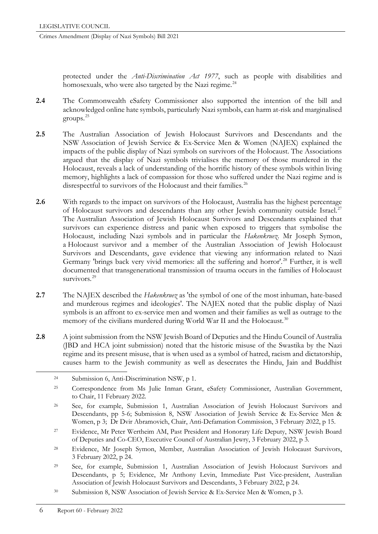protected under the *Anti-Discrimination Act 1977*, such as people with disabilities and homosexuals, who were also targeted by the Nazi regime.<sup>[24](#page-15-0)</sup>

- **2.4** The Commonwealth eSafety Commissioner also supported the intention of the bill and acknowledged online hate symbols, particularly Nazi symbols, can harm at-risk and marginalised groups.[25](#page-15-1)
- **2.5** The Australian Association of Jewish Holocaust Survivors and Descendants and the NSW Association of Jewish Service & Ex-Service Men & Women (NAJEX) explained the impacts of the public display of Nazi symbols on survivors of the Holocaust. The Associations argued that the display of Nazi symbols trivialises the memory of those murdered in the Holocaust, reveals a lack of understanding of the horrific history of these symbols within living memory, highlights a lack of compassion for those who suffered under the Nazi regime and is disrespectful to survivors of the Holocaust and their families.<sup>[26](#page-15-2)</sup>
- **2.6** With regards to the impact on survivors of the Holocaust, Australia has the highest percentage of Holocaust survivors and descendants than any other Jewish community outside Israel.<sup>[27](#page-15-3)</sup> The Australian Association of Jewish Holocaust Survivors and Descendants explained that survivors can experience distress and panic when exposed to triggers that symbolise the Holocaust, including Nazi symbols and in particular the *Hakenkruez*. Mr Joseph Symon, a Holocaust survivor and a member of the Australian Association of Jewish Holocaust Survivors and Descendants, gave evidence that viewing any information related to Nazi Germany 'brings back very vivid memories: all the suffering and horror'.<sup>[28](#page-15-4)</sup> Further, it is well documented that transgenerational transmission of trauma occurs in the families of Holocaust survivors.<sup>[29](#page-15-5)</sup>
- **2.7** The NAJEX described the *Hakenkruez* as 'the symbol of one of the most inhuman, hate-based and murderous regimes and ideologies'. The NAJEX noted that the public display of Nazi symbols is an affront to ex-service men and women and their families as well as outrage to the memory of the civilians murdered during World War II and the Holocaust.<sup>[30](#page-15-6)</sup>
- **2.8** A joint submission from the NSW Jewish Board of Deputies and the Hindu Council of Australia (JBD and HCA joint submission) noted that the historic misuse of the Swastika by the Nazi regime and its present misuse, that is when used as a symbol of hatred, racism and dictatorship, causes harm to the Jewish community as well as desecrates the Hindu, Jain and Buddhist

- <span id="page-15-3"></span><sup>27</sup> Evidence, Mr Peter Wertheim AM, Past President and Honorary Life Deputy, NSW Jewish Board of Deputies and Co-CEO, Executive Council of Australian Jewry, 3 February 2022, p 3.
- <span id="page-15-4"></span><sup>28</sup> Evidence, Mr Joseph Symon, Member, Australian Association of Jewish Holocaust Survivors, 3 February 2022, p 24.
- <span id="page-15-5"></span><sup>29</sup> See, for example, Submission 1, Australian Association of Jewish Holocaust Survivors and Descendants, p 5; Evidence, Mr Anthony Levin, Immediate Past Vice-president, Australian Association of Jewish Holocaust Survivors and Descendants, 3 February 2022, p 24.
- <span id="page-15-6"></span><sup>30</sup> Submission 8, NSW Association of Jewish Service & Ex-Service Men & Women, p 3.

<span id="page-15-0"></span> <sup>24</sup> Submission 6, Anti-Discrimination NSW, p 1.

<span id="page-15-1"></span><sup>25</sup> Correspondence from Ms Julie Inman Grant, eSafety Commissioner, Australian Government, to Chair, 11 February 2022.

<span id="page-15-2"></span><sup>26</sup> See, for example, Submission 1, Australian Association of Jewish Holocaust Survivors and Descendants, pp 5-6; Submission 8, NSW Association of Jewish Service & Ex-Service Men & Women, p 3; Dr Dvir Abramovich, Chair, Anti-Defamation Commission, 3 February 2022, p 15.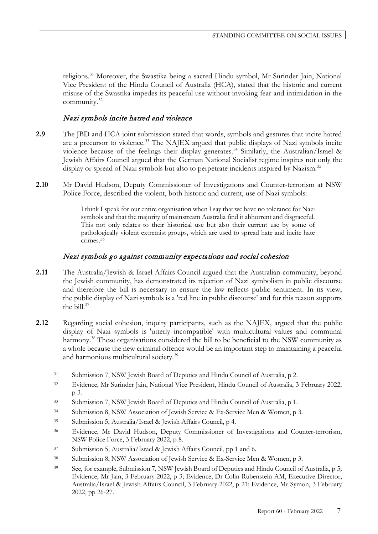religions.<sup>[31](#page-16-0)</sup> Moreover, the Swastika being a sacred Hindu symbol, Mr Surinder Jain, National Vice President of the Hindu Council of Australia (HCA), stated that the historic and current misuse of the Swastika impedes its peaceful use without invoking fear and intimidation in the community.<sup>[32](#page-16-1)</sup>

# Nazi symbols incite hatred and violence

- **2.9** The JBD and HCA joint submission stated that words, symbols and gestures that incite hatred are a precursor to violence.<sup>[33](#page-16-2)</sup> The NAJEX argued that public displays of Nazi symbols incite violence because of the feelings their display generates.<sup>[34](#page-16-3)</sup> Similarly, the Australian/Israel & Jewish Affairs Council argued that the German National Socialist regime inspires not only the display or spread of Nazi symbols but also to perpetrate incidents inspired by Nazism.<sup>[35](#page-16-4)</sup>
- **2.10** Mr David Hudson, Deputy Commissioner of Investigations and Counter-terrorism at NSW Police Force, described the violent, both historic and current, use of Nazi symbols:

I think I speak for our entire organisation when I say that we have no tolerance for Nazi symbols and that the majority of mainstream Australia find it abhorrent and disgraceful. This not only relates to their historical use but also their current use by some of pathologically violent extremist groups, which are used to spread hate and incite hate crimes.[36](#page-16-5)

# Nazi symbols go against community expectations and social cohesion

- **2.11** The Australia/Jewish & Israel Affairs Council argued that the Australian community, beyond the Jewish community, has demonstrated its rejection of Nazi symbolism in public discourse and therefore the bill is necessary to ensure the law reflects public sentiment. In its view, the public display of Nazi symbols is a 'red line in public discourse' and for this reason supports the bill. $37$
- **2.12** Regarding social cohesion, inquiry participants, such as the NAJEX, argued that the public display of Nazi symbols is 'utterly incompatible' with multicultural values and communal harmony.<sup>[38](#page-16-7)</sup> These organisations considered the bill to be beneficial to the NSW community as a whole because the new criminal offence would be an important step to maintaining a peaceful and harmonious multicultural society.<sup>[39](#page-16-8)</sup>

- <span id="page-16-1"></span><sup>32</sup> Evidence, Mr Surinder Jain, National Vice President, Hindu Council of Australia, 3 February 2022, p 3.
- <span id="page-16-2"></span><sup>33</sup> Submission 7, NSW Jewish Board of Deputies and Hindu Council of Australia, p 1.
- <span id="page-16-3"></span><sup>34</sup> Submission 8, NSW Association of Jewish Service & Ex-Service Men & Women, p 3.
- <span id="page-16-4"></span><sup>35</sup> Submission 5, Australia/Israel & Jewish Affairs Council, p 4.
- <span id="page-16-5"></span><sup>36</sup> Evidence, Mr David Hudson, Deputy Commissioner of Investigations and Counter-terrorism, NSW Police Force, 3 February 2022, p 8.
- <span id="page-16-6"></span><sup>37</sup> Submission 5, Australia/Israel & Jewish Affairs Council, pp 1 and 6.
- <span id="page-16-7"></span><sup>38</sup> Submission 8, NSW Association of Jewish Service & Ex-Service Men & Women, p 3.
- <span id="page-16-8"></span><sup>39</sup> See, for example, Submission 7, NSW Jewish Board of Deputies and Hindu Council of Australia, p 5; Evidence, Mr Jain, 3 February 2022, p 3; Evidence, Dr Colin Rubenstein AM, Executive Director, Australia/Israel & Jewish Affairs Council, 3 February 2022, p 21; Evidence, Mr Symon, 3 February 2022, pp 26-27.

<span id="page-16-0"></span> <sup>31</sup> Submission 7, NSW Jewish Board of Deputies and Hindu Council of Australia, p 2.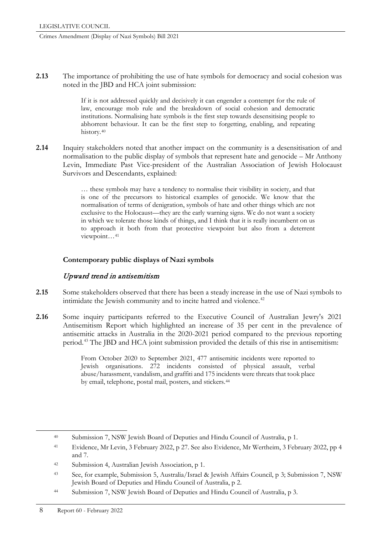**2.13** The importance of prohibiting the use of hate symbols for democracy and social cohesion was noted in the JBD and HCA joint submission:

> If it is not addressed quickly and decisively it can engender a contempt for the rule of law, encourage mob rule and the breakdown of social cohesion and democratic institutions. Normalising hate symbols is the first step towards desensitising people to abhorrent behaviour. It can be the first step to forgetting, enabling, and repeating history.[40](#page-17-0)

**2.14** Inquiry stakeholders noted that another impact on the community is a desensitisation of and normalisation to the public display of symbols that represent hate and genocide – Mr Anthony Levin, Immediate Past Vice-president of the Australian Association of Jewish Holocaust Survivors and Descendants, explained:

> … these symbols may have a tendency to normalise their visibility in society, and that is one of the precursors to historical examples of genocide. We know that the normalisation of terms of denigration, symbols of hate and other things which are not exclusive to the Holocaust—they are the early warning signs. We do not want a society in which we tolerate those kinds of things, and I think that it is really incumbent on us to approach it both from that protective viewpoint but also from a deterrent viewpoint…[41](#page-17-1)

# **Contemporary public displays of Nazi symbols**

# Upward trend in antisemitism

- **2.15** Some stakeholders observed that there has been a steady increase in the use of Nazi symbols to intimidate the Jewish community and to incite hatred and violence.<sup>[42](#page-17-2)</sup>
- **2.16** Some inquiry participants referred to the Executive Council of Australian Jewry's 2021 Antisemitism Report which highlighted an increase of 35 per cent in the prevalence of antisemitic attacks in Australia in the 2020-2021 period compared to the previous reporting period. [43](#page-17-3) The JBD and HCA joint submission provided the details of this rise in antisemitism:

From October 2020 to September 2021, 477 antisemitic incidents were reported to Jewish organisations. 272 incidents consisted of physical assault, verbal abuse/harassment, vandalism, and graffiti and 175 incidents were threats that took place by email, telephone, postal mail, posters, and stickers[.44](#page-17-4)

<span id="page-17-0"></span> <sup>40</sup> Submission 7, NSW Jewish Board of Deputies and Hindu Council of Australia, p 1.

<span id="page-17-1"></span><sup>41</sup> Evidence, Mr Levin, 3 February 2022, p 27. See also Evidence, Mr Wertheim, 3 February 2022, pp 4 and 7.

<span id="page-17-2"></span><sup>42</sup> Submission 4, Australian Jewish Association, p 1.

<span id="page-17-3"></span><sup>43</sup> See, for example, Submission 5, Australia/Israel & Jewish Affairs Council, p 3; Submission 7, NSW Jewish Board of Deputies and Hindu Council of Australia, p 2.

<span id="page-17-4"></span><sup>44</sup> Submission 7, NSW Jewish Board of Deputies and Hindu Council of Australia, p 3.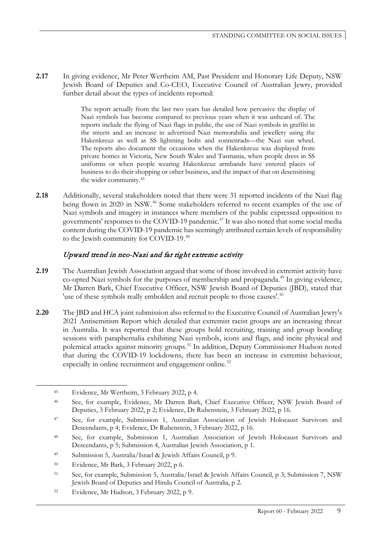**2.17** In giving evidence, Mr Peter Wertheim AM, Past President and Honorary Life Deputy, NSW Jewish Board of Deputies and Co-CEO, Executive Council of Australian Jewry, provided further detail about the types of incidents reported:

> The report actually from the last two years has detailed how pervasive the display of Nazi symbols has become compared to previous years when it was unheard of. The reports include the flying of Nazi flags in public, the use of Nazi symbols in graffiti in the streets and an increase in advertised Nazi memorabilia and jewellery using the Hakenkreuz as well as SS lightning bolts and sonnenrads—the Nazi sun wheel. The reports also document the occasions when the Hakenkreuz was displayed from private homes in Victoria, New South Wales and Tasmania, when people dress in SS uniforms or when people wearing Hakenkreuz armbands have entered places of business to do their shopping or other business, and the impact of that on desensitising the wider community[.45](#page-18-0)

**2.18** Additionally, several stakeholders noted that there were 31 reported incidents of the Nazi flag being flown in 2020 in NSW.<sup>[46](#page-18-1)</sup> Some stakeholders referred to recent examples of the use of Nazi symbols and imagery in instances where members of the public expressed opposition to governments' responses to the COVID-19 pandemic.<sup>[47](#page-18-2)</sup> It was also noted that some social media content during the COVID-19 pandemic has seemingly attributed certain levels of responsibility to the Jewish community for COVID-19.[48](#page-18-3)

# Upward trend in neo-Nazi and far right extreme activity

- **2.19** The Australian Jewish Association argued that some of those involved in extremist activity have co-opted Nazi symbols for the purposes of membership and propaganda.<sup>[49](#page-18-4)</sup> In giving evidence, Mr Darren Bark, Chief Executive Officer, NSW Jewish Board of Deputies (JBD), stated that 'use of these symbols really embolden and recruit people to those causes'.<sup>[50](#page-18-5)</sup>
- **2.20** The JBD and HCA joint submission also referred to the Executive Council of Australian Jewry's 2021 Antisemitism Report which detailed that extremist racist groups are an increasing threat in Australia. It was reported that these groups hold recruiting, training and group bonding sessions with paraphernalia exhibiting Nazi symbols, icons and flags, and incite physical and polemical attacks against minority groups.[51](#page-18-6) In addition, Deputy Commissioner Hudson noted that during the COVID-19 lockdowns, there has been an increase in extremist behaviour, especially in online recruitment and engagement online.<sup>[52](#page-18-7)</sup>

<span id="page-18-7"></span><sup>52</sup> Evidence, Mr Hudson, 3 February 2022, p 9.

<span id="page-18-0"></span> <sup>45</sup> Evidence, Mr Wertheim, 3 February 2022, p 4.

<span id="page-18-1"></span><sup>46</sup> See, for example, Evidence, Mr Darren Bark, Chief Executive Officer, NSW Jewish Board of Deputies, 3 February 2022, p 2; Evidence, Dr Rubenstein, 3 February 2022, p 16.

<span id="page-18-2"></span><sup>47</sup> See, for example, Submission 1, Australian Association of Jewish Holocaust Survivors and Descendants, p 4; Evidence, Dr Rubenstein, 3 February 2022, p 16.

<span id="page-18-3"></span><sup>48</sup> See, for example, Submission 1, Australian Association of Jewish Holocaust Survivors and Descendants, p 5; Submission 4, Australian Jewish Association, p 1.

<span id="page-18-4"></span><sup>49</sup> Submission 5, Australia/Israel & Jewish Affairs Council, p 9.

<span id="page-18-5"></span><sup>50</sup> Evidence, Mr Bark, 3 February 2022, p 6.

<span id="page-18-6"></span><sup>51</sup> See, for example, Submission 5, Australia/Israel & Jewish Affairs Council, p 3; Submission 7, NSW Jewish Board of Deputies and Hindu Council of Australia, p 2.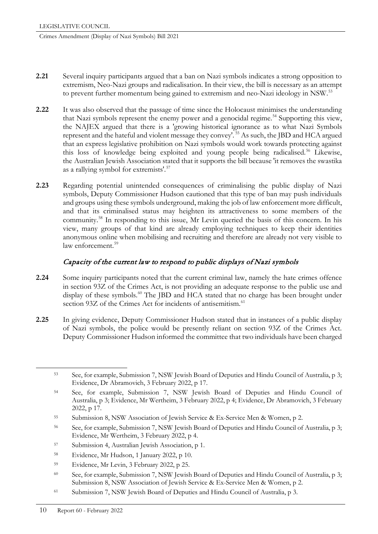- **2.21** Several inquiry participants argued that a ban on Nazi symbols indicates a strong opposition to extremism, Neo-Nazi groups and radicalisation. In their view, the bill is necessary as an attempt to prevent further momentum being gained to extremism and neo-Nazi ideology in NSW.[53](#page-19-0)
- **2.22** It was also observed that the passage of time since the Holocaust minimises the understanding that Nazi symbols represent the enemy power and a genocidal regime.<sup>[54](#page-19-1)</sup> Supporting this view, the NAJEX argued that there is a 'growing historical ignorance as to what Nazi Symbols represent and the hateful and violent message they convey'. [55](#page-19-2) As such, the JBD and HCA argued that an express legislative prohibition on Nazi symbols would work towards protecting against this loss of knowledge being exploited and young people being radicalised.<sup>[56](#page-19-3)</sup> Likewise, the Australian Jewish Association stated that it supports the bill because 'it removes the swastika as a rallying symbol for extremists'.[57](#page-19-4)
- **2.23** Regarding potential unintended consequences of criminalising the public display of Nazi symbols, Deputy Commissioner Hudson cautioned that this type of ban may push individuals and groups using these symbols underground, making the job of law enforcement more difficult, and that its criminalised status may heighten its attractiveness to some members of the community.[58](#page-19-5) In responding to this issue, Mr Levin queried the basis of this concern. In his view, many groups of that kind are already employing techniques to keep their identities anonymous online when mobilising and recruiting and therefore are already not very visible to law enforcement.<sup>[59](#page-19-6)</sup>

# Capacity of the current law to respond to public displays of Nazi symbols

- **2.24** Some inquiry participants noted that the current criminal law, namely the hate crimes offence in section 93Z of the Crimes Act, is not providing an adequate response to the public use and display of these symbols.<sup>[60](#page-19-7)</sup> The JBD and HCA stated that no charge has been brought under section 93Z of the Crimes Act for incidents of antisemitism.<sup>[61](#page-19-8)</sup>
- **2.25** In giving evidence, Deputy Commissioner Hudson stated that in instances of a public display of Nazi symbols, the police would be presently reliant on section 93Z of the Crimes Act. Deputy Commissioner Hudson informed the committee that two individuals have been charged

- <span id="page-19-2"></span><sup>55</sup> Submission 8, NSW Association of Jewish Service & Ex-Service Men & Women, p 2.
- <span id="page-19-3"></span><sup>56</sup> See, for example, Submission 7, NSW Jewish Board of Deputies and Hindu Council of Australia, p 3; Evidence, Mr Wertheim, 3 February 2022, p 4.
- <span id="page-19-4"></span><sup>57</sup> Submission 4, Australian Jewish Association, p 1.
- <span id="page-19-5"></span><sup>58</sup> Evidence, Mr Hudson, 1 January 2022, p 10.
- <span id="page-19-6"></span><sup>59</sup> Evidence, Mr Levin, 3 February 2022, p 25.
- <span id="page-19-7"></span><sup>60</sup> See, for example, Submission 7, NSW Jewish Board of Deputies and Hindu Council of Australia, p 3; Submission 8, NSW Association of Jewish Service & Ex-Service Men & Women, p 2.
- <span id="page-19-8"></span><sup>61</sup> Submission 7, NSW Jewish Board of Deputies and Hindu Council of Australia, p 3.

<span id="page-19-0"></span> <sup>53</sup> See, for example, Submission 7, NSW Jewish Board of Deputies and Hindu Council of Australia, p 3; Evidence, Dr Abramovich, 3 February 2022, p 17.

<span id="page-19-1"></span><sup>54</sup> See, for example, Submission 7, NSW Jewish Board of Deputies and Hindu Council of Australia, p 3; Evidence, Mr Wertheim, 3 February 2022, p 4; Evidence, Dr Abramovich, 3 February 2022, p 17.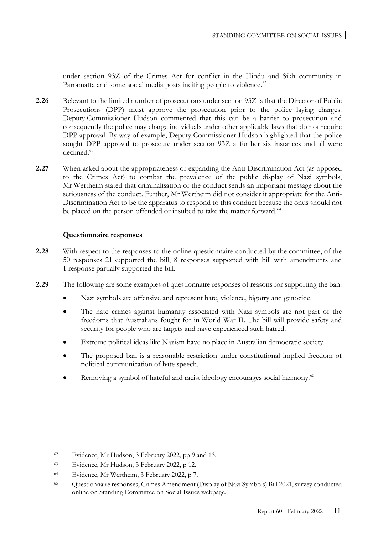under section 93Z of the Crimes Act for conflict in the Hindu and Sikh community in Parramatta and some social media posts inciting people to violence.<sup>[62](#page-20-0)</sup>

- **2.26** Relevant to the limited number of prosecutions under section 93Z is that the Director of Public Prosecutions (DPP) must approve the prosecution prior to the police laying charges. Deputy Commissioner Hudson commented that this can be a barrier to prosecution and consequently the police may charge individuals under other applicable laws that do not require DPP approval. By way of example, Deputy Commissioner Hudson highlighted that the police sought DPP approval to prosecute under section 93Z a further six instances and all were declined<sup>[63](#page-20-1)</sup>
- **2.27** When asked about the appropriateness of expanding the Anti-Discrimination Act (as opposed to the Crimes Act) to combat the prevalence of the public display of Nazi symbols, Mr Wertheim stated that criminalisation of the conduct sends an important message about the seriousness of the conduct. Further, Mr Wertheim did not consider it appropriate for the Anti-Discrimination Act to be the apparatus to respond to this conduct because the onus should not be placed on the person offended or insulted to take the matter forward.<sup>[64](#page-20-2)</sup>

## **Questionnaire responses**

- **2.28** With respect to the responses to the online questionnaire conducted by the committee, of the 50 responses 21 supported the bill, 8 responses supported with bill with amendments and 1 response partially supported the bill.
- **2.29** The following are some examples of questionnaire responses of reasons for supporting the ban.
	- Nazi symbols are offensive and represent hate, violence, bigotry and genocide.
	- The hate crimes against humanity associated with Nazi symbols are not part of the freedoms that Australians fought for in World War II. The bill will provide safety and security for people who are targets and have experienced such hatred.
	- Extreme political ideas like Nazism have no place in Australian democratic society.
	- The proposed ban is a reasonable restriction under constitutional implied freedom of political communication of hate speech.
	- Removing a symbol of hateful and racist ideology encourages social harmony.<sup>[65](#page-20-3)</sup>

<span id="page-20-0"></span> <sup>62</sup> Evidence, Mr Hudson, 3 February 2022, pp 9 and 13.

<span id="page-20-1"></span><sup>63</sup> Evidence, Mr Hudson, 3 February 2022, p 12.

<span id="page-20-2"></span><sup>64</sup> Evidence, Mr Wertheim, 3 February 2022, p 7.

<span id="page-20-3"></span><sup>65</sup> Questionnaire responses, Crimes Amendment (Display of Nazi Symbols) Bill 2021, survey conducted online on Standing Committee on Social Issues webpage.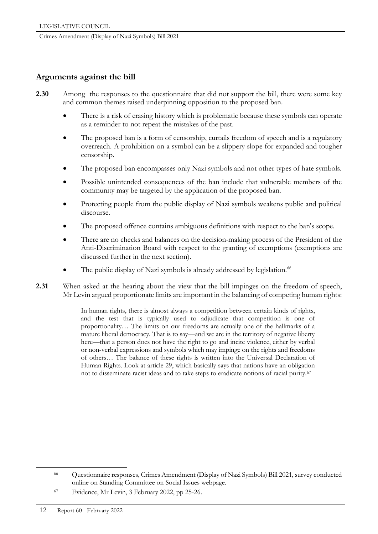# **Arguments against the bill**

- **2.30** Among the responses to the questionnaire that did not support the bill, there were some key and common themes raised underpinning opposition to the proposed ban.
	- There is a risk of erasing history which is problematic because these symbols can operate as a reminder to not repeat the mistakes of the past.
	- The proposed ban is a form of censorship, curtails freedom of speech and is a regulatory overreach. A prohibition on a symbol can be a slippery slope for expanded and tougher censorship.
	- The proposed ban encompasses only Nazi symbols and not other types of hate symbols.
	- Possible unintended consequences of the ban include that vulnerable members of the community may be targeted by the application of the proposed ban.
	- Protecting people from the public display of Nazi symbols weakens public and political discourse.
	- The proposed offence contains ambiguous definitions with respect to the ban's scope.
	- There are no checks and balances on the decision-making process of the President of the Anti-Discrimination Board with respect to the granting of exemptions (exemptions are discussed further in the next section).
	- The public display of Nazi symbols is already addressed by legislation.<sup>66</sup>
- **2.31** When asked at the hearing about the view that the bill impinges on the freedom of speech, Mr Levin argued proportionate limits are important in the balancing of competing human rights:

In human rights, there is almost always a competition between certain kinds of rights, and the test that is typically used to adjudicate that competition is one of proportionality… The limits on our freedoms are actually one of the hallmarks of a mature liberal democracy. That is to say—and we are in the territory of negative liberty here—that a person does not have the right to go and incite violence, either by verbal or non-verbal expressions and symbols which may impinge on the rights and freedoms of others… The balance of these rights is written into the Universal Declaration of Human Rights. Look at article 29, which basically says that nations have an obligation not to disseminate racist ideas and to take steps to eradicate notions of racial purity[.67](#page-21-1)

<span id="page-21-0"></span> <sup>66</sup> Questionnaire responses, Crimes Amendment (Display of Nazi Symbols) Bill 2021, survey conducted online on Standing Committee on Social Issues webpage.

<span id="page-21-1"></span><sup>67</sup> Evidence, Mr Levin, 3 February 2022, pp 25-26.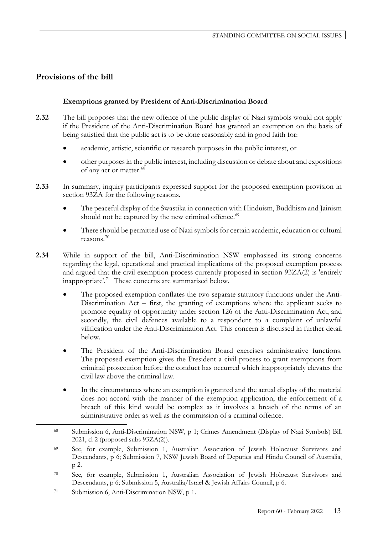# **Provisions of the bill**

## **Exemptions granted by President of Anti-Discrimination Board**

- **2.32** The bill proposes that the new offence of the public display of Nazi symbols would not apply if the President of the Anti-Discrimination Board has granted an exemption on the basis of being satisfied that the public act is to be done reasonably and in good faith for:
	- academic, artistic, scientific or research purposes in the public interest, or
	- other purposes in the public interest, including discussion or debate about and expositions of any act or matter.<sup>[68](#page-22-0)</sup>
- **2.33** In summary, inquiry participants expressed support for the proposed exemption provision in section 93ZA for the following reasons.
	- The peaceful display of the Swastika in connection with Hinduism, Buddhism and Jainism should not be captured by the new criminal offence.<sup>69</sup>
	- There should be permitted use of Nazi symbols for certain academic, education or cultural reasons.[70](#page-22-2)
- **2.34** While in support of the bill, Anti-Discrimination NSW emphasised its strong concerns regarding the legal, operational and practical implications of the proposed exemption process and argued that the civil exemption process currently proposed in section 93ZA(2) is 'entirely inappropriate'.[71](#page-22-3) These concerns are summarised below.
	- The proposed exemption conflates the two separate statutory functions under the Anti-Discrimination Act – first, the granting of exemptions where the applicant seeks to promote equality of opportunity under section 126 of the Anti-Discrimination Act, and secondly, the civil defences available to a respondent to a complaint of unlawful vilification under the Anti-Discrimination Act. This concern is discussed in further detail below.
	- The President of the Anti-Discrimination Board exercises administrative functions. The proposed exemption gives the President a civil process to grant exemptions from criminal prosecution before the conduct has occurred which inappropriately elevates the civil law above the criminal law.
	- In the circumstances where an exemption is granted and the actual display of the material does not accord with the manner of the exemption application, the enforcement of a breach of this kind would be complex as it involves a breach of the terms of an administrative order as well as the commission of a criminal offence.

<span id="page-22-0"></span> <sup>68</sup> Submission 6, Anti-Discrimination NSW, p 1; Crimes Amendment (Display of Nazi Symbols) Bill 2021, cl 2 (proposed subs 93ZA(2)).

<span id="page-22-1"></span><sup>69</sup> See, for example, Submission 1, Australian Association of Jewish Holocaust Survivors and Descendants, p 6; Submission 7, NSW Jewish Board of Deputies and Hindu Council of Australia, p 2.

<span id="page-22-2"></span><sup>70</sup> See, for example, Submission 1, Australian Association of Jewish Holocaust Survivors and Descendants, p 6; Submission 5, Australia/Israel & Jewish Affairs Council, p 6.

<span id="page-22-3"></span><sup>71</sup> Submission 6, Anti-Discrimination NSW, p 1.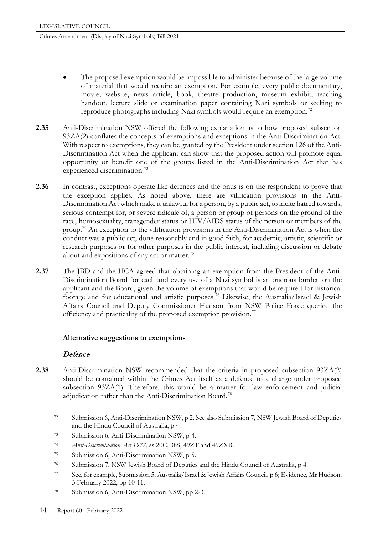- The proposed exemption would be impossible to administer because of the large volume of material that would require an exemption. For example, every public documentary, movie, website, news article, book, theatre production, museum exhibit, teaching handout, lecture slide or examination paper containing Nazi symbols or seeking to reproduce photographs including Nazi symbols would require an exemption.<sup>[72](#page-23-0)</sup>
- **2.35** Anti-Discrimination NSW offered the following explanation as to how proposed subsection 93ZA(2) conflates the concepts of exemptions and exceptions in the Anti-Discrimination Act. With respect to exemptions, they can be granted by the President under section 126 of the Anti-Discrimination Act when the applicant can show that the proposed action will promote equal opportunity or benefit one of the groups listed in the Anti-Discrimination Act that has experienced discrimination. [73](#page-23-1)
- **2.36** In contrast, exceptions operate like defences and the onus is on the respondent to prove that the exception applies. As noted above, there are vilification provisions in the Anti-Discrimination Act which make it unlawful for a person, by a public act, to incite hatred towards, serious contempt for, or severe ridicule of, a person or group of persons on the ground of the race, homosexuality, transgender status or HIV/AIDS status of the person or members of the group.[74](#page-23-2) An exception to the vilification provisions in the Anti-Discrimination Act is when the conduct was a public act, done reasonably and in good faith, for academic, artistic, scientific or research purposes or for other purposes in the public interest, including discussion or debate about and expositions of any act or matter.<sup>[75](#page-23-3)</sup>
- **2.37** The JBD and the HCA agreed that obtaining an exemption from the President of the Anti-Discrimination Board for each and every use of a Nazi symbol is an onerous burden on the applicant and the Board, given the volume of exemptions that would be required for historical footage and for educational and artistic purposes.[76](#page-23-4) Likewise, the Australia/Israel & Jewish Affairs Council and Deputy Commissioner Hudson from NSW Police Force queried the efficiency and practicality of the proposed exemption provision.<sup>[77](#page-23-5)</sup>

## **Alternative suggestions to exemptions**

# Defence

**2.38** Anti-Discrimination NSW recommended that the criteria in proposed subsection 93ZA(2) should be contained within the Crimes Act itself as a defence to a charge under proposed subsection 93ZA(1). Therefore, this would be a matter for law enforcement and judicial adjudication rather than the Anti-Discrimination Board.<sup>[78](#page-23-6)</sup>

<span id="page-23-0"></span> <sup>72</sup> Submission 6, Anti-Discrimination NSW, p 2. See also Submission 7, NSW Jewish Board of Deputies and the Hindu Council of Australia, p 4.

<span id="page-23-1"></span><sup>73</sup> Submission 6, Anti-Discrimination NSW, p 4.

<span id="page-23-2"></span><sup>74</sup> *Anti-Discrimination Act 1977*, ss 20C, 38S, 49ZT and 49ZXB.

<span id="page-23-3"></span><sup>75</sup> Submission 6, Anti-Discrimination NSW, p 5.

<span id="page-23-4"></span><sup>76</sup> Submission 7, NSW Jewish Board of Deputies and the Hindu Council of Australia, p 4.

<span id="page-23-5"></span><sup>77</sup> See, for example, Submission 5, Australia/Israel & Jewish Affairs Council, p 6; Evidence, Mr Hudson, 3 February 2022, pp 10-11.

<span id="page-23-6"></span><sup>78</sup> Submission 6, Anti-Discrimination NSW, pp 2-3.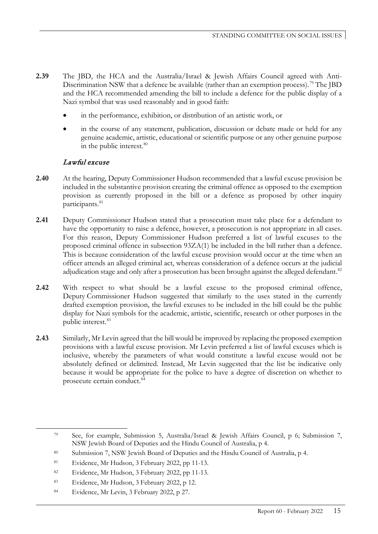- **2.39** The JBD, the HCA and the Australia/Israel & Jewish Affairs Council agreed with Anti-Discrimination NSW that a defence be available (rather than an exemption process).<sup>[79](#page-24-0)</sup> The JBD and the HCA recommended amending the bill to include a defence for the public display of a Nazi symbol that was used reasonably and in good faith:
	- in the performance, exhibition, or distribution of an artistic work, or
	- in the course of any statement, publication, discussion or debate made or held for any genuine academic, artistic, educational or scientific purpose or any other genuine purpose in the public interest.<sup>[80](#page-24-1)</sup>

# Lawful excuse

- **2.40** At the hearing, Deputy Commissioner Hudson recommended that a lawful excuse provision be included in the substantive provision creating the criminal offence as opposed to the exemption provision as currently proposed in the bill or a defence as proposed by other inquiry participants.<sup>[81](#page-24-2)</sup>
- **2.41** Deputy Commissioner Hudson stated that a prosecution must take place for a defendant to have the opportunity to raise a defence, however, a prosecution is not appropriate in all cases. For this reason, Deputy Commissioner Hudson preferred a list of lawful excuses to the proposed criminal offence in subsection 93ZA(1) be included in the bill rather than a defence. This is because consideration of the lawful excuse provision would occur at the time when an officer attends an alleged criminal act, whereas consideration of a defence occurs at the judicial adjudication stage and only after a prosecution has been brought against the alleged defendant.<sup>[82](#page-24-3)</sup>
- **2.42** With respect to what should be a lawful excuse to the proposed criminal offence, Deputy Commissioner Hudson suggested that similarly to the uses stated in the currently drafted exemption provision, the lawful excuses to be included in the bill could be the public display for Nazi symbols for the academic, artistic, scientific, research or other purposes in the public interest.<sup>[83](#page-24-4)</sup>
- **2.43** Similarly, Mr Levin agreed that the bill would be improved by replacing the proposed exemption provisions with a lawful excuse provision. Mr Levin preferred a list of lawful excuses which is inclusive, whereby the parameters of what would constitute a lawful excuse would not be absolutely defined or delimited. Instead, Mr Levin suggested that the list be indicative only because it would be appropriate for the police to have a degree of discretion on whether to prosecute certain conduct.[84](#page-24-5)

<span id="page-24-0"></span> <sup>79</sup> See, for example, Submission 5, Australia/Israel & Jewish Affairs Council, p 6; Submission 7, NSW Jewish Board of Deputies and the Hindu Council of Australia, p 4.

<span id="page-24-1"></span><sup>80</sup> Submission 7, NSW Jewish Board of Deputies and the Hindu Council of Australia, p 4.

<span id="page-24-2"></span><sup>81</sup> Evidence, Mr Hudson, 3 February 2022, pp 11-13.

<span id="page-24-3"></span><sup>82</sup> Evidence, Mr Hudson, 3 February 2022, pp 11-13.

<span id="page-24-4"></span><sup>83</sup> Evidence, Mr Hudson, 3 February 2022, p 12.

<span id="page-24-5"></span><sup>84</sup> Evidence, Mr Levin, 3 February 2022, p 27.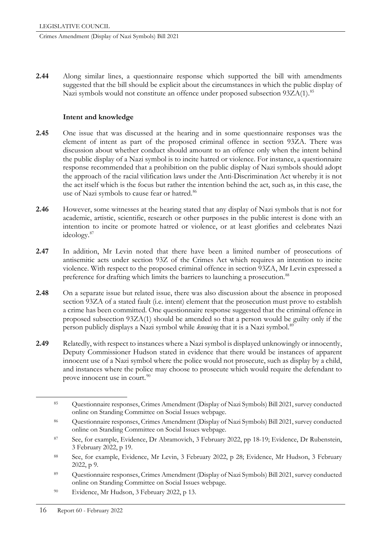**2.44** Along similar lines, a questionnaire response which supported the bill with amendments suggested that the bill should be explicit about the circumstances in which the public display of Nazi symbols would not constitute an offence under proposed subsection 93ZA(1).<sup>[85](#page-25-0)</sup>

## **Intent and knowledge**

- **2.45** One issue that was discussed at the hearing and in some questionnaire responses was the element of intent as part of the proposed criminal offence in section 93ZA. There was discussion about whether conduct should amount to an offence only when the intent behind the public display of a Nazi symbol is to incite hatred or violence. For instance, a questionnaire response recommended that a prohibition on the public display of Nazi symbols should adopt the approach of the racial vilification laws under the Anti-Discrimination Act whereby it is not the act itself which is the focus but rather the intention behind the act, such as, in this case, the use of Nazi symbols to cause fear or hatred.<sup>[86](#page-25-1)</sup>
- **2.46** However, some witnesses at the hearing stated that any display of Nazi symbols that is not for academic, artistic, scientific, research or other purposes in the public interest is done with an intention to incite or promote hatred or violence, or at least glorifies and celebrates Nazi ideology.[87](#page-25-2)
- **2.47** In addition, Mr Levin noted that there have been a limited number of prosecutions of antisemitic acts under section 93Z of the Crimes Act which requires an intention to incite violence. With respect to the proposed criminal offence in section 93ZA, Mr Levin expressed a preference for drafting which limits the barriers to launching a prosecution.<sup>88</sup>
- **2.48** On a separate issue but related issue, there was also discussion about the absence in proposed section 93ZA of a stated fault (i.e. intent) element that the prosecution must prove to establish a crime has been committed. One questionnaire response suggested that the criminal offence in proposed subsection 93ZA(1) should be amended so that a person would be guilty only if the person publicly displays a Nazi symbol while *knowing* that it is a Nazi symbol.[89](#page-25-4)
- **2.49** Relatedly, with respect to instances where a Nazi symbol is displayed unknowingly or innocently, Deputy Commissioner Hudson stated in evidence that there would be instances of apparent innocent use of a Nazi symbol where the police would not prosecute, such as display by a child, and instances where the police may choose to prosecute which would require the defendant to prove innocent use in court.<sup>[90](#page-25-5)</sup>

<span id="page-25-0"></span> <sup>85</sup> Questionnaire responses, Crimes Amendment (Display of Nazi Symbols) Bill 2021, survey conducted online on Standing Committee on Social Issues webpage.

<span id="page-25-1"></span><sup>86</sup> Questionnaire responses, Crimes Amendment (Display of Nazi Symbols) Bill 2021, survey conducted online on Standing Committee on Social Issues webpage.

<span id="page-25-2"></span><sup>87</sup> See, for example, Evidence, Dr Abramovich, 3 February 2022, pp 18-19; Evidence, Dr Rubenstein, 3 February 2022, p 19.

<span id="page-25-3"></span><sup>88</sup> See, for example, Evidence, Mr Levin, 3 February 2022, p 28; Evidence, Mr Hudson, 3 February 2022, p 9.

<span id="page-25-4"></span><sup>89</sup> Questionnaire responses, Crimes Amendment (Display of Nazi Symbols) Bill 2021, survey conducted online on Standing Committee on Social Issues webpage.

<span id="page-25-5"></span><sup>90</sup> Evidence, Mr Hudson, 3 February 2022, p 13.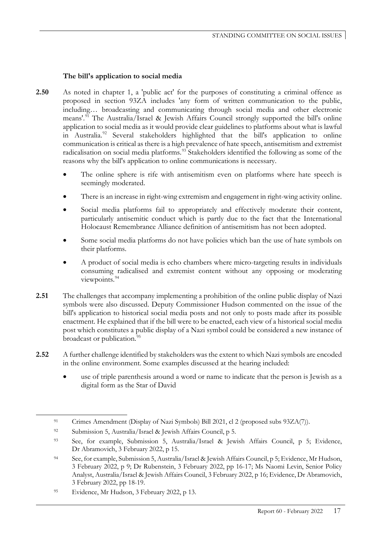# **The bill's application to social media**

- **2.50** As noted in chapter 1, a 'public act' for the purposes of constituting a criminal offence as proposed in section 93ZA includes 'any form of written communication to the public, including… broadcasting and communicating through social media and other electronic means'.<sup>[91](#page-26-0)</sup> The Australia/Israel & Jewish Affairs Council strongly supported the bill's online application to social media as it would provide clear guidelines to platforms about what is lawful in Australia.<sup>[92](#page-26-1)</sup> Several stakeholders highlighted that the bill's application to online communication is critical as there is a high prevalence of hate speech, antisemitism and extremist radicalisation on social media platforms.<sup>[93](#page-26-2)</sup> Stakeholders identified the following as some of the reasons why the bill's application to online communications is necessary.
	- The online sphere is rife with antisemitism even on platforms where hate speech is seemingly moderated.
	- There is an increase in right-wing extremism and engagement in right-wing activity online.
	- Social media platforms fail to appropriately and effectively moderate their content, particularly antisemitic conduct which is partly due to the fact that the International Holocaust Remembrance Alliance definition of antisemitism has not been adopted.
	- Some social media platforms do not have policies which ban the use of hate symbols on their platforms.
	- A product of social media is echo chambers where micro-targeting results in individuals consuming radicalised and extremist content without any opposing or moderating viewpoints.<sup>[94](#page-26-3)</sup>
- **2.51** The challenges that accompany implementing a prohibition of the online public display of Nazi symbols were also discussed. Deputy Commissioner Hudson commented on the issue of the bill's application to historical social media posts and not only to posts made after its possible enactment. He explained that if the bill were to be enacted, each view of a historical social media post which constitutes a public display of a Nazi symbol could be considered a new instance of broadcast or publication.<sup>[95](#page-26-4)</sup>
- **2.52** A further challenge identified by stakeholders was the extent to which Nazi symbols are encoded in the online environment. Some examples discussed at the hearing included:
	- use of triple parenthesis around a word or name to indicate that the person is Jewish as a digital form as the Star of David

<span id="page-26-0"></span> <sup>91</sup> Crimes Amendment (Display of Nazi Symbols) Bill 2021, cl 2 (proposed subs 93ZA(7)).

<span id="page-26-1"></span><sup>92</sup> Submission 5, Australia/Israel & Jewish Affairs Council, p 5.

<span id="page-26-2"></span><sup>93</sup> See, for example, Submission 5, Australia/Israel & Jewish Affairs Council, p 5; Evidence, Dr Abramovich, 3 February 2022, p 15.

<span id="page-26-3"></span><sup>94</sup> See, for example, Submission 5, Australia/Israel & Jewish Affairs Council, p 5; Evidence, Mr Hudson, 3 February 2022, p 9; Dr Rubenstein, 3 February 2022, pp 16-17; Ms Naomi Levin, Senior Policy Analyst, Australia/Israel & Jewish Affairs Council, 3 February 2022, p 16; Evidence, Dr Abramovich, 3 February 2022, pp 18-19.

<span id="page-26-4"></span><sup>95</sup> Evidence, Mr Hudson, 3 February 2022, p 13.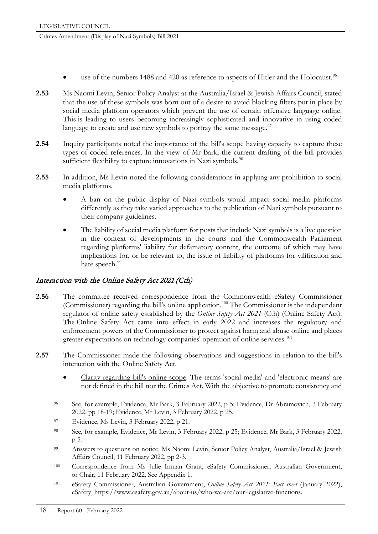- use of the numbers 1488 and 420 as reference to aspects of Hitler and the Holocaust.<sup>[96](#page-27-0)</sup>
- **2.53** Ms Naomi Levin, Senior Policy Analyst at the Australia/Israel & Jewish Affairs Council, stated that the use of these symbols was born out of a desire to avoid blocking filters put in place by social media platform operators which prevent the use of certain offensive language online. This is leading to users becoming increasingly sophisticated and innovative in using coded language to create and use new symbols to portray the same message.  $\frac{97}{2}$
- **2.54** Inquiry participants noted the importance of the bill's scope having capacity to capture these types of coded references. In the view of Mr Bark, the current drafting of the bill provides sufficient flexibility to capture innovations in Nazi symbols.<sup>[98](#page-27-2)</sup>
- **2.55** In addition, Ms Levin noted the following considerations in applying any prohibition to social media platforms.
	- A ban on the public display of Nazi symbols would impact social media platforms differently as they take varied approaches to the publication of Nazi symbols pursuant to their company guidelines.
	- The liability of social media platform for posts that include Nazi symbols is a live question in the context of developments in the courts and the Commonwealth Parliament regarding platforms' liability for defamatory content, the outcome of which may have implications for, or be relevant to, the issue of liability of platforms for vilification and hate speech.<sup>[99](#page-27-3)</sup>

# Interaction with the Online Safety Act 2021 (Cth)

- **2.56** The committee received correspondence from the Commonwealth eSafety Commissioner (Commissioner) regarding the bill's online application.<sup>[100](#page-27-4)</sup> The Commissioner is the independent regulator of online safety established by the *Online Safety Act 2021* (Cth) (Online Safety Act). The Online Safety Act came into effect in early 2022 and increases the regulatory and enforcement powers of the Commissioner to protect against harm and abuse online and places greater expectations on technology companies' operation of online services.<sup>[101](#page-27-5)</sup>
- <span id="page-27-5"></span><span id="page-27-4"></span><span id="page-27-3"></span><span id="page-27-2"></span><span id="page-27-1"></span><span id="page-27-0"></span>**2.57** The Commissioner made the following observations and suggestions in relation to the bill's interaction with the Online Safety Act.
	- Clarity regarding bill's online scope: The terms 'social media' and 'electronic means' are not defined in the bill nor the Crimes Act. With the objective to promote consistency and
	- 96 See, for example, Evidence, Mr Bark, 3 February 2022, p 5; Evidence, Dr Abramovich, 3 February 2022, pp 18-19; Evidence, Mr Levin, 3 February 2022, p 25.
	- <sup>97</sup> Evidence, Ms Levin, 3 February 2022, p 21.
	- <sup>98</sup> See, for example, Evidence, Mr Levin, 3 February 2022, p 25; Evidence, Mr Bark, 3 February 2022, p 5.
	- <sup>99</sup> Answers to questions on notice, Ms Naomi Levin, Senior Policy Analyst, Australia/Israel & Jewish Affairs Council, 11 February 2022, pp 2-3.
	- <sup>100</sup> Correspondence from Ms Julie Inman Grant, eSafety Commissioner, Australian Government, to Chair, 11 February 2022. See Appendix 1.
	- <sup>101</sup> eSafety Commissioner, Australian Government, *Online Safety Act 2021: Fact sheet* (January 2022), eSafety, https://www.esafety.gov.au/about-us/who-we-are/our-legislative-functions.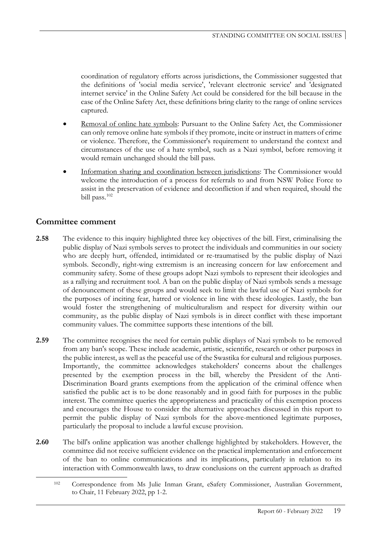coordination of regulatory efforts across jurisdictions, the Commissioner suggested that the definitions of 'social media service', 'relevant electronic service' and 'designated internet service' in the Online Safety Act could be considered for the bill because in the case of the Online Safety Act, these definitions bring clarity to the range of online services captured.

- Removal of online hate symbols: Pursuant to the Online Safety Act, the Commissioner can only remove online hate symbols if they promote, incite or instruct in matters of crime or violence. Therefore, the Commissioner's requirement to understand the context and circumstances of the use of a hate symbol, such as a Nazi symbol, before removing it would remain unchanged should the bill pass.
- Information sharing and coordination between jurisdictions: The Commissioner would welcome the introduction of a process for referrals to and from NSW Police Force to assist in the preservation of evidence and deconfliction if and when required, should the bill pass.<sup>[102](#page-28-0)</sup>

# **Committee comment**

- **2.58** The evidence to this inquiry highlighted three key objectives of the bill. First, criminalising the public display of Nazi symbols serves to protect the individuals and communities in our society who are deeply hurt, offended, intimidated or re-traumatised by the public display of Nazi symbols. Secondly, right-wing extremism is an increasing concern for law enforcement and community safety. Some of these groups adopt Nazi symbols to represent their ideologies and as a rallying and recruitment tool. A ban on the public display of Nazi symbols sends a message of denouncement of these groups and would seek to limit the lawful use of Nazi symbols for the purposes of inciting fear, hatred or violence in line with these ideologies. Lastly, the ban would foster the strengthening of multiculturalism and respect for diversity within our community, as the public display of Nazi symbols is in direct conflict with these important community values. The committee supports these intentions of the bill.
- **2.59** The committee recognises the need for certain public displays of Nazi symbols to be removed from any ban's scope. These include academic, artistic, scientific, research or other purposes in the public interest, as well as the peaceful use of the Swastika for cultural and religious purposes. Importantly, the committee acknowledges stakeholders' concerns about the challenges presented by the exemption process in the bill, whereby the President of the Anti-Discrimination Board grants exemptions from the application of the criminal offence when satisfied the public act is to be done reasonably and in good faith for purposes in the public interest. The committee queries the appropriateness and practicality of this exemption process and encourages the House to consider the alternative approaches discussed in this report to permit the public display of Nazi symbols for the above-mentioned legitimate purposes, particularly the proposal to include a lawful excuse provision.
- **2.60** The bill's online application was another challenge highlighted by stakeholders. However, the committee did not receive sufficient evidence on the practical implementation and enforcement of the ban to online communications and its implications, particularly in relation to its interaction with Commonwealth laws, to draw conclusions on the current approach as drafted

<span id="page-28-0"></span> <sup>102</sup> Correspondence from Ms Julie Inman Grant, eSafety Commissioner, Australian Government, to Chair, 11 February 2022, pp 1-2.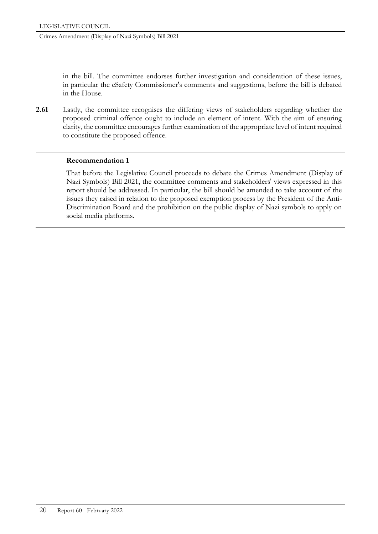in the bill. The committee endorses further investigation and consideration of these issues, in particular the eSafety Commissioner's comments and suggestions, before the bill is debated in the House.

**2.61** Lastly, the committee recognises the differing views of stakeholders regarding whether the proposed criminal offence ought to include an element of intent. With the aim of ensuring clarity, the committee encourages further examination of the appropriate level of intent required to constitute the proposed offence.

## **Recommendation 1**

That before the Legislative Council proceeds to debate the Crimes Amendment (Display of Nazi Symbols) Bill 2021, the committee comments and stakeholders' views expressed in this report should be addressed. In particular, the bill should be amended to take account of the issues they raised in relation to the proposed exemption process by the President of the Anti-Discrimination Board and the prohibition on the public display of Nazi symbols to apply on social media platforms.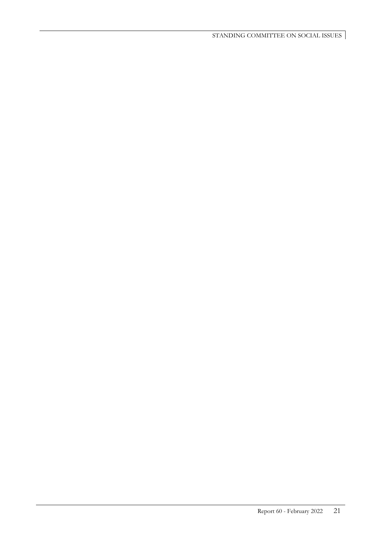STANDING COMMITTEE ON SOCIAL ISSUES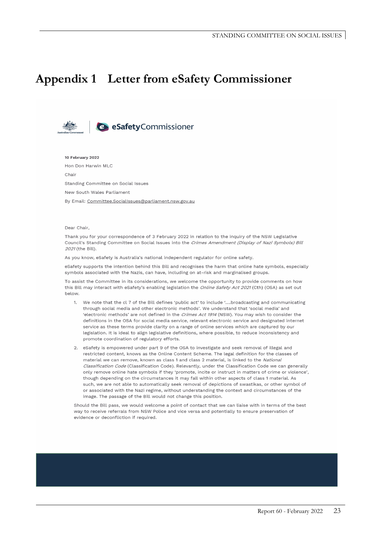# **Appendix 1 Letter from eSafety Commissioner**



e eSafetyCommissioner

10 February 2022 Hon Don Harwin MLC Chair Standing Committee on Social Issues New South Wales Parliament By Email: Committee.SocialIssues@parliament.nsw.gov.au

Dear Chair,

Thank you for your correspondence of 3 February 2022 in relation to the inquiry of the NSW Legislative Council's Standing Committee on Social Issues into the Crimes Amendment (Display of Nazi Symbols) Bill 2021 (the Bill).

As you know, eSafety is Australia's national independent regulator for online safety.

eSafety supports the intention behind this Bill and recognises the harm that online hate symbols, especially symbols associated with the Nazis, can have, including on at-risk and marginalised groups.

To assist the Committee in its considerations, we welcome the opportunity to provide comments on how this Bill may interact with eSafety's enabling legislation the Online Safety Act 2021 (Cth) (OSA) as set out below

- 1. We note that the cl 7 of the Bill defines 'public act' to include '....broadcasting and communicating through social media and other electronic methods'. We understand that 'social media' and 'electronic methods' are not defined in the Crimes Act 1914 (NSW). You may wish to consider the definitions in the OSA for social media service, relevant electronic service and designated internet service as these terms provide clarity on a range of online services which are captured by our legislation. It is ideal to align legislative definitions, where possible, to reduce inconsistency and promote coordination of regulatory efforts.
- 2. eSafety is empowered under part 9 of the OSA to investigate and seek removal of illegal and restricted content, knows as the Online Content Scheme. The legal definition for the classes of material we can remove, known as class 1 and class 2 material, is linked to the National Classification Code (Classification Code). Relevantly, under the Classification Code we can generally only remove online hate symbols if they 'promote, incite or instruct in matters of crime or violence', though depending on the circumstances it may fall within other aspects of class 1 material. As such, we are not able to automatically seek removal of depictions of swastikas, or other symbol of or associated with the Nazi regime, without understanding the context and circumstances of the image. The passage of the Bill would not change this position.

Should the Bill pass, we would welcome a point of contact that we can liaise with in terms of the best way to receive referrals from NSW Police and vice versa and potentially to ensure preservation of evidence or deconfliction if required.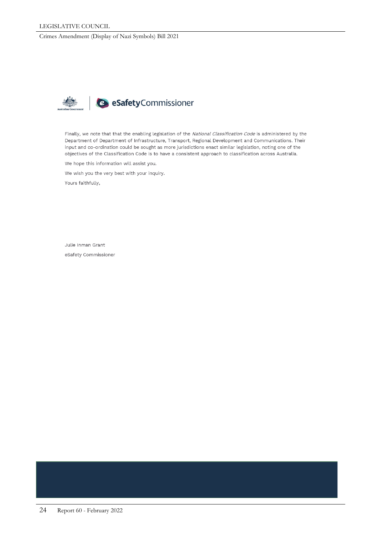

Finally, we note that that the enabling legislation of the National Classification Code is administered by the Department of Department of Infrastructure, Transport, Regional Development and Communications. Their input and co-ordination could be sought as more jurisdictions enact similar legislation, noting one of the objectives of the Classification Code is to have a consistent approach to classification across Australia.

We hope this information will assist you.

We wish you the very best with your inquiry.

Yours faithfully,

Julie Inman Grant eSafety Commissioner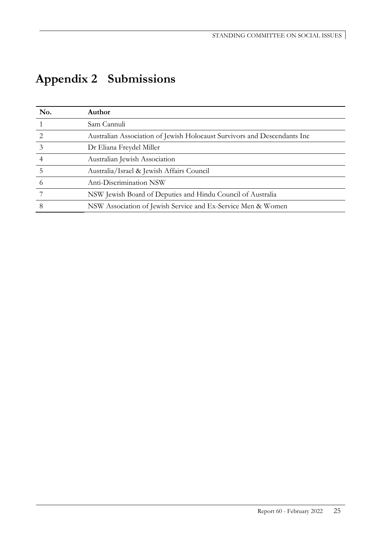# **Appendix 2 Submissions**

| No.           | Author                                                                   |
|---------------|--------------------------------------------------------------------------|
|               | Sam Cannuli                                                              |
| $\mathcal{L}$ | Australian Association of Jewish Holocaust Survivors and Descendants Inc |
| 3             | Dr Eliana Freydel Miller                                                 |
| 4             | Australian Jewish Association                                            |
| 5             | Australia/Israel & Jewish Affairs Council                                |
| -6            | Anti-Discrimination NSW                                                  |
|               | NSW Jewish Board of Deputies and Hindu Council of Australia              |
| 8             | NSW Association of Jewish Service and Ex-Service Men & Women             |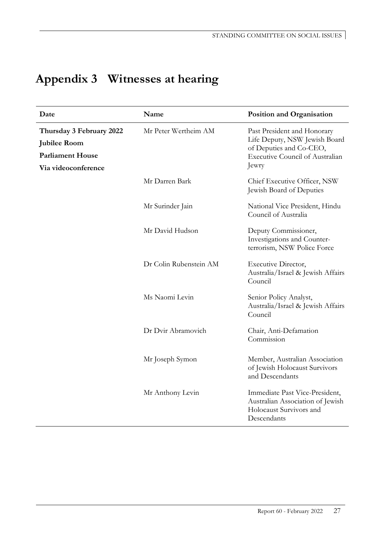| Date                                                                                              | Name                   | <b>Position and Organisation</b>                                                                                                    |
|---------------------------------------------------------------------------------------------------|------------------------|-------------------------------------------------------------------------------------------------------------------------------------|
| Thursday 3 February 2022<br><b>Jubilee Room</b><br><b>Parliament House</b><br>Via videoconference | Mr Peter Wertheim AM   | Past President and Honorary<br>Life Deputy, NSW Jewish Board<br>of Deputies and Co-CEO,<br>Executive Council of Australian<br>Jewry |
|                                                                                                   | Mr Darren Bark         | Chief Executive Officer, NSW<br>Jewish Board of Deputies                                                                            |
|                                                                                                   | Mr Surinder Jain       | National Vice President, Hindu<br>Council of Australia                                                                              |
|                                                                                                   | Mr David Hudson        | Deputy Commissioner,<br>Investigations and Counter-<br>terrorism, NSW Police Force                                                  |
|                                                                                                   | Dr Colin Rubenstein AM | Executive Director,<br>Australia/Israel & Jewish Affairs<br>Council                                                                 |
|                                                                                                   | Ms Naomi Levin         | Senior Policy Analyst,<br>Australia/Israel & Jewish Affairs<br>Council                                                              |
|                                                                                                   | Dr Dvir Abramovich     | Chair, Anti-Defamation<br>Commission                                                                                                |
|                                                                                                   | Mr Joseph Symon        | Member, Australian Association<br>of Jewish Holocaust Survivors<br>and Descendants                                                  |
|                                                                                                   | Mr Anthony Levin       | Immediate Past Vice-President,<br>Australian Association of Jewish<br>Holocaust Survivors and<br>Descendants                        |

# **Appendix 3 Witnesses at hearing**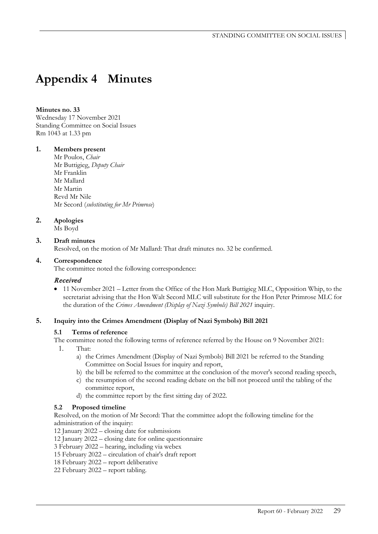# **Appendix 4 Minutes**

## **Minutes no. 33**

Wednesday 17 November 2021 Standing Committee on Social Issues Rm 1043 at 1.33 pm

#### **1. Members present**

Mr Poulos, *Chair* Mr Buttigieg, *Deputy Chair* Mr Franklin Mr Mallard Mr Martin Revd Mr Nile Mr Secord (*substituting for Mr Primrose*)

## **2. Apologies**

Ms Boyd

#### **3. Draft minutes**

Resolved, on the motion of Mr Mallard: That draft minutes no. 32 be confirmed.

#### **4. Correspondence**

The committee noted the following correspondence:

#### Received

• 11 November 2021 – Letter from the Office of the Hon Mark Buttigieg MLC, Opposition Whip, to the secretariat advising that the Hon Walt Secord MLC will substitute for the Hon Peter Primrose MLC for the duration of the *Crimes Amendment (Display of Nazi Symbols) Bill 2021* inquiry*.*

#### **5. Inquiry into the Crimes Amendment (Display of Nazi Symbols) Bill 2021**

#### **5.1 Terms of reference**

The committee noted the following terms of reference referred by the House on 9 November 2021:

- 1. That:
	- a) the Crimes Amendment (Display of Nazi Symbols) Bill 2021 be referred to the Standing Committee on Social Issues for inquiry and report,
	- b) the bill be referred to the committee at the conclusion of the mover's second reading speech,
	- c) the resumption of the second reading debate on the bill not proceed until the tabling of the committee report,
	- d) the committee report by the first sitting day of 2022.

#### **5.2 Proposed timeline**

Resolved, on the motion of Mr Secord: That the committee adopt the following timeline for the administration of the inquiry:

12 January 2022 – closing date for submissions

12 January 2022 – closing date for online questionnaire

3 February 2022 – hearing, including via webex

- 15 February 2022 circulation of chair's draft report
- 18 February 2022 report deliberative

22 February 2022 – report tabling.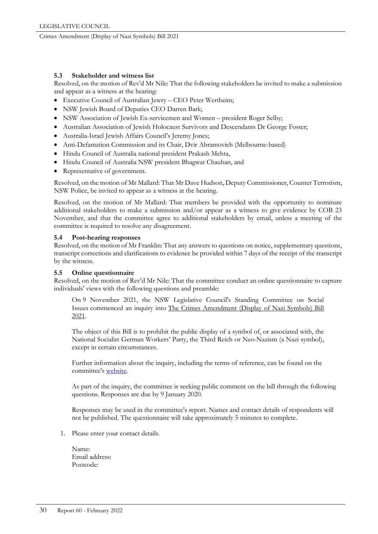## **5.3 Stakeholder and witness list**

Resolved, on the motion of Rev'd Mr Nile: That the following stakeholders be invited to make a submission and appear as a witness at the hearing:

- Executive Council of Australian Jewry CEO Peter Wertheim;
- NSW Jewish Board of Deputies CEO Darren Bark;
- NSW Association of Jewish Ex-servicemen and Women president Roger Selby;
- Australian Association of Jewish Holocaust Survivors and Descendants Dr George Foster;
- Australia-Israel Jewish Affairs Council's Jeremy Jones;
- Anti-Defamation Commission and its Chair, Dvir Abramovich (Melbourne-based)
- Hindu Council of Australia national president Prakash Mehta,
- Hindu Council of Australia NSW president Bhagwat Chauhan, and
- Representative of government.

Resolved, on the motion of Mr Mallard: That Mr Dave Hudson, Deputy Commissioner, Counter Terrorism, NSW Police, be invited to appear as a witness at the hearing.

Resolved, on the motion of Mr Mallard: That members be provided with the opportunity to nominate additional stakeholders to make a submission and/or appear as a witness to give evidence by COB 23 November, and that the committee agree to additional stakeholders by email, unless a meeting of the committee is required to resolve any disagreement.

## **5.4 Post-hearing responses**

Resolved, on the motion of Mr Franklin: That any answers to questions on notice, supplementary questions, transcript corrections and clarifications to evidence be provided within 7 days of the receipt of the transcript by the witness.

## **5.5 Online questionnaire**

Resolved, on the motion of Rev'd Mr Nile: That the committee conduct an online questionnaire to capture individuals' views with the following questions and preamble:

On 9 November 2021, the NSW Legislative Council's Standing Committee on Social Issues commenced an inquiry into The Crimes Amendment (Display of Nazi Symbols) Bill 2021.

The object of this Bill is to prohibit the public display of a symbol of, or associated with, the National Socialist German Workers' Party, the Third Reich or Neo-Nazism (a Nazi symbol), except in certain circumstances.

Further information about the inquiry, including the terms of reference, can be found on the committee's [website.](https://www.parliament.nsw.gov.au/committees/inquiries/Pages/inquiry-details.aspx?pk=2840)

As part of the inquiry, the committee is seeking public comment on the bill through the following questions. Responses are due by 9 January 2020.

Responses may be used in the committee's report. Names and contact details of respondents will not be published. The questionnaire will take approximately 5 minutes to complete.

- 1. Please enter your contact details.
	- Name: Email address: Postcode: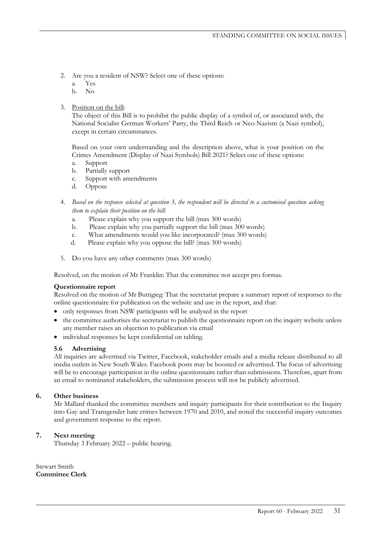- 2. Are you a resident of NSW? Select one of these options:
	- a. Yes
	- b. No
- 3. Position on the bill:

The object of this Bill is to prohibit the public display of a symbol of, or associated with, the National Socialist German Workers' Party, the Third Reich or Neo-Nazism (a Nazi symbol), except in certain circumstances.

Based on your own understanding and the description above, what is your position on the Crimes Amendment (Display of Nazi Symbols) Bill 2021? Select one of these options:

- a. Support
- b. Partially support
- c. Support with amendments
- d. Oppose
- 4. *Based on the response selected at question 3, the respondent will be directed to a customised question asking them to explain their position on the bill*:
	- a. Please explain why you support the bill (max 300 words)
	- b. Please explain why you partially support the bill (max 300 words)
	- c. What amendments would you like incorporated? (max 300 words)
	- d. Please explain why you oppose the bill? (max 300 words)
- 5. Do you have any other comments (max 300 words)

Resolved, on the motion of Mr Franklin: That the committee not accept pro formas.

#### **Questionnaire report**

Resolved on the motion of Mr Buttigieg: That the secretariat prepare a summary report of responses to the online questionnaire for publication on the website and use in the report, and that:

- only responses from NSW participants will be analysed in the report
- the committee authorises the secretariat to publish the questionnaire report on the inquiry website unless any member raises an objection to publication via email
- individual responses be kept confidential on tabling.

## **5.6 Advertising**

All inquiries are advertised via Twitter, Facebook, stakeholder emails and a media release distributed to all media outlets in New South Wales. Facebook posts may be boosted or advertised. The focus of advertising will be to encourage participation in the online questionnaire rather than submissions. Therefore, apart from an email to nominated stakeholders, the submission process will not be publicly advertised.

## **6. Other business**

Mr Mallard thanked the committee members and inquiry participants for their contribution to the Inquiry into Gay and Transgender hate crimes between 1970 and 2010, and noted the successful inquiry outcomes and government response to the report.

## **7. Next meeting**

Thursday 3 February 2022 – public hearing.

Stewart Smith **Committee Clerk**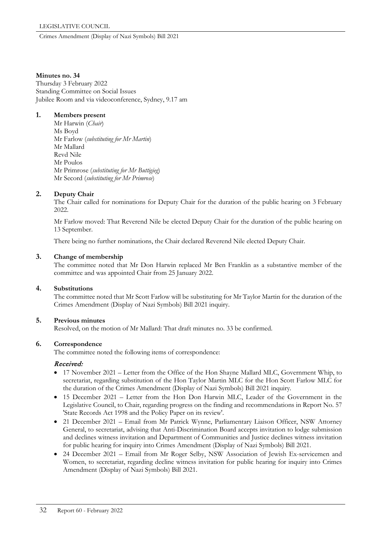## **Minutes no. 34**

Thursday 3 February 2022 Standing Committee on Social Issues Jubilee Room and via videoconference, Sydney, 9.17 am

## **1. Members present**

Mr Harwin (*Chair*) Ms Boyd Mr Farlow (*substituting for Mr Martin*) Mr Mallard Revd Nile Mr Poulos Mr Primrose (*substituting for Mr Buttigieg*) Mr Secord (*substituting for Mr Primrose*)

## **2. Deputy Chair**

The Chair called for nominations for Deputy Chair for the duration of the public hearing on 3 February 2022.

Mr Farlow moved: That Reverend Nile be elected Deputy Chair for the duration of the public hearing on 13 September.

There being no further nominations, the Chair declared Reverend Nile elected Deputy Chair.

## **3. Change of membership**

The committee noted that Mr Don Harwin replaced Mr Ben Franklin as a substantive member of the committee and was appointed Chair from 25 January 2022.

## **4. Substitutions**

The committee noted that Mr Scott Farlow will be substituting for Mr Taylor Martin for the duration of the Crimes Amendment (Display of Nazi Symbols) Bill 2021 inquiry.

## **5. Previous minutes**

Resolved, on the motion of Mr Mallard: That draft minutes no. 33 be confirmed.

## **6. Correspondence**

The committee noted the following items of correspondence:

## Received:

- 17 November 2021 Letter from the Office of the Hon Shayne Mallard MLC, Government Whip, to secretariat, regarding substitution of the Hon Taylor Martin MLC for the Hon Scott Farlow MLC for the duration of the Crimes Amendment (Display of Nazi Symbols) Bill 2021 inquiry*.*
- 15 December 2021 Letter from the Hon Don Harwin MLC, Leader of the Government in the Legislative Council, to Chair, regarding progress on the finding and recommendations in Report No. 57 'State Records Act 1998 and the Policy Paper on its review'.
- 21 December 2021 Email from Mr Patrick Wynne, Parliamentary Liaison Officer, NSW Attorney General, to secretariat, advising that Anti-Discrimination Board accepts invitation to lodge submission and declines witness invitation and Department of Communities and Justice declines witness invitation for public hearing for inquiry into Crimes Amendment (Display of Nazi Symbols) Bill 2021.
- 24 December 2021 Email from Mr Roger Selby, NSW Association of Jewish Ex-servicemen and Women, to secretariat, regarding decline witness invitation for public hearing for inquiry into Crimes Amendment (Display of Nazi Symbols) Bill 2021.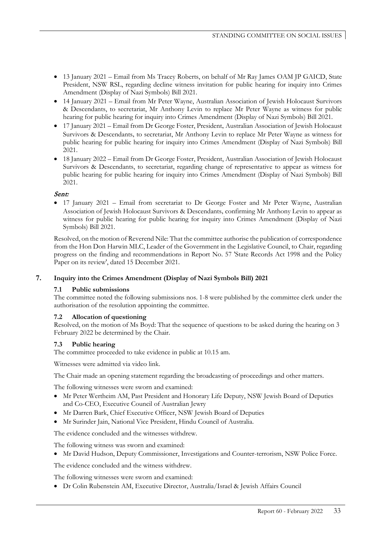- 13 January 2021 Email from Ms Tracey Roberts, on behalf of Mr Ray James OAM JP GAICD, State President, NSW RSL, regarding decline witness invitation for public hearing for inquiry into Crimes Amendment (Display of Nazi Symbols) Bill 2021.
- 14 January 2021 Email from Mr Peter Wayne, Australian Association of Jewish Holocaust Survivors & Descendants, to secretariat, Mr Anthony Levin to replace Mr Peter Wayne as witness for public hearing for public hearing for inquiry into Crimes Amendment (Display of Nazi Symbols) Bill 2021.
- 17 January 2021 Email from Dr George Foster, President, Australian Association of Jewish Holocaust Survivors & Descendants, to secretariat, Mr Anthony Levin to replace Mr Peter Wayne as witness for public hearing for public hearing for inquiry into Crimes Amendment (Display of Nazi Symbols) Bill 2021.
- 18 January 2022 Email from Dr George Foster, President, Australian Association of Jewish Holocaust Survivors & Descendants, to secretariat, regarding change of representative to appear as witness for public hearing for public hearing for inquiry into Crimes Amendment (Display of Nazi Symbols) Bill 2021.

## Sent:

• 17 January 2021 – Email from secretariat to Dr George Foster and Mr Peter Wayne, Australian Association of Jewish Holocaust Survivors & Descendants, confirming Mr Anthony Levin to appear as witness for public hearing for public hearing for inquiry into Crimes Amendment (Display of Nazi Symbols) Bill 2021.

Resolved, on the motion of Reverend Nile: That the committee authorise the publication of correspondence from the Hon Don Harwin MLC, Leader of the Government in the Legislative Council, to Chair, regarding progress on the finding and recommendations in Report No. 57 'State Records Act 1998 and the Policy Paper on its review', dated 15 December 2021.

## **7. Inquiry into the Crimes Amendment (Display of Nazi Symbols Bill) 2021**

## **7.1 Public submissions**

The committee noted the following submissions nos. 1-8 were published by the committee clerk under the authorisation of the resolution appointing the committee.

## **7.2 Allocation of questioning**

Resolved, on the motion of Ms Boyd: That the sequence of questions to be asked during the hearing on 3 February 2022 be determined by the Chair.

## **7.3 Public hearing**

The committee proceeded to take evidence in public at 10.15 am.

Witnesses were admitted via video link.

The Chair made an opening statement regarding the broadcasting of proceedings and other matters.

The following witnesses were sworn and examined:

- Mr Peter Wertheim AM, Past President and Honorary Life Deputy, NSW Jewish Board of Deputies and Co-CEO, Executive Council of Australian Jewry
- Mr Darren Bark, Chief Executive Officer, NSW Jewish Board of Deputies
- Mr Surinder Jain, National Vice President, Hindu Council of Australia.

The evidence concluded and the witnesses withdrew.

The following witness was sworn and examined:

• Mr David Hudson, Deputy Commissioner, Investigations and Counter-terrorism, NSW Police Force.

The evidence concluded and the witness withdrew.

The following witnesses were sworn and examined:

• Dr Colin Rubenstein AM, Executive Director, Australia/Israel & Jewish Affairs Council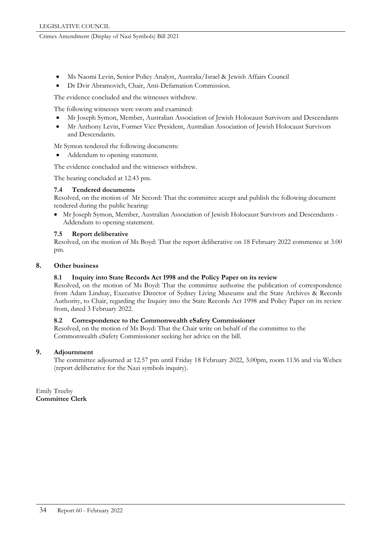- Ms Naomi Levin, Senior Policy Analyst, Australia/Israel & Jewish Affairs Council
- Dr Dvir Abramovich, Chair, Anti-Defamation Commission.

The evidence concluded and the witnesses withdrew.

The following witnesses were sworn and examined:

- Mr Joseph Symon, Member, Australian Association of Jewish Holocaust Survivors and Descendants
- Mr Anthony Levin, Former Vice President, Australian Association of Jewish Holocaust Survivors and Descendants.

Mr Symon tendered the following documents:

Addendum to opening statement.

The evidence concluded and the witnesses withdrew.

The hearing concluded at 12.43 pm.

## **7.4 Tendered documents**

Resolved, on the motion of Mr Secord: That the committee accept and publish the following document tendered during the public hearing:

• Mr Joseph Symon, Member, Australian Association of Jewish Holocaust Survivors and Descendants - Addendum to opening statement.

## **7.5 Report deliberative**

Resolved, on the motion of Ms Boyd: That the report deliberative on 18 February 2022 commence at 3.00 pm.

## **8. Other business**

## **8.1 Inquiry into State Records Act 1998 and the Policy Paper on its review**

Resolved, on the motion of Ms Boyd: That the committee authorise the publication of correspondence from Adam Lindsay, Executive Director of Sydney Living Museums and the State Archives & Records Authority, to Chair, regarding the Inquiry into the State Records Act 1998 and Policy Paper on its review from, dated 3 February 2022.

## **8.2 Correspondence to the Commonwealth eSafety Commissioner**

Resolved, on the motion of Ms Boyd: That the Chair write on behalf of the committee to the Commonwealth eSafety Commissioner seeking her advice on the bill.

## **9. Adjournment**

The committee adjourned at 12.57 pm until Friday 18 February 2022, 3.00pm, room 1136 and via Webex (report deliberative for the Nazi symbols inquiry).

Emily Treeby **Committee Clerk**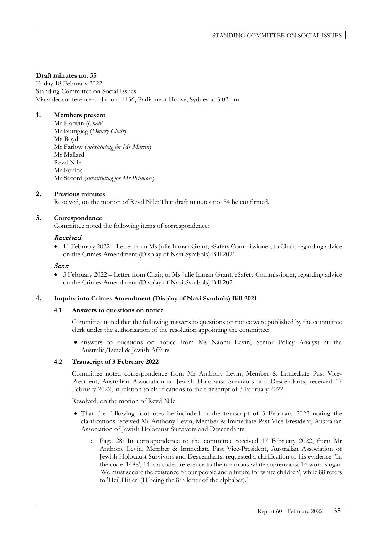#### **Draft minutes no. 35**

Friday 18 February 2022 Standing Committee on Social Issues Via videoconference and room 1136, Parliament House, Sydney at 3.02 pm

#### **1. Members present**

Mr Harwin (*Chair*) Mr Buttigieg (*Deputy Chair*) Ms Boyd Mr Farlow (*substituting for Mr Martin*) Mr Mallard Revd Nile Mr Poulos Mr Secord (*substituting for Mr Primrose*)

#### **2. Previous minutes**

Resolved, on the motion of Revd Nile: That draft minutes no. 34 be confirmed.

#### **3. Correspondence**

Committee noted the following items of correspondence:

#### Received

• 11 February 2022 – Letter from Ms Julie Inman Grant, eSafety Commissioner, to Chair, regarding advice on the Crimes Amendment (Display of Nazi Symbols) Bill 2021

#### Sent:

• 3 February 2022 – Letter from Chair, to Ms Julie Inman Grant, eSafety Commissioner, regarding advice on the Crimes Amendment (Display of Nazi Symbols) Bill 2021

#### **4. Inquiry into Crimes Amendment (Display of Nazi Symbols) Bill 2021**

#### **4.1 Answers to questions on notice**

Committee noted that the following answers to questions on notice were published by the committee clerk under the authorisation of the resolution appointing the committee:

• answers to questions on notice from Ms Naomi Levin, Senior Policy Analyst at the Australia/Israel & Jewish Affairs

#### **4.2 Transcript of 3 February 2022**

Committee noted correspondence from Mr Anthony Levin, Member & Immediate Past Vice-President, Australian Association of Jewish Holocaust Survivors and Descendants, received 17 February 2022, in relation to clarifications to the transcript of 3 February 2022.

Resolved, on the motion of Revd Nile:

- That the following footnotes be included in the transcript of 3 February 2022 noting the clarifications received Mr Anthony Levin, Member & Immediate Past Vice-President, Australian Association of Jewish Holocaust Survivors and Descendants:
	- o Page 28: In correspondence to the committee received 17 February 2022, from Mr Anthony Levin, Member & Immediate Past Vice-President, Australian Association of Jewish Holocaust Survivors and Descendants, requested a clarification to his evidence: 'In the code '1488', 14 is a coded reference to the infamous white supremacist 14 word slogan 'We must secure the existence of our people and a future for white children', while 88 refers to 'Heil Hitler' (H being the 8th letter of the alphabet).'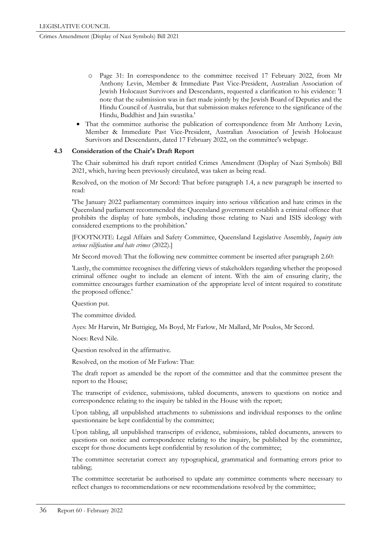- o Page 31: In correspondence to the committee received 17 February 2022, from Mr Anthony Levin, Member & Immediate Past Vice-President, Australian Association of Jewish Holocaust Survivors and Descendants, requested a clarification to his evidence: 'I note that the submission was in fact made jointly by the Jewish Board of Deputies and the Hindu Council of Australia, but that submission makes reference to the significance of the Hindu, Buddhist and Jain swastika.'
- That the committee authorise the publication of correspondence from Mr Anthony Levin, Member & Immediate Past Vice-President, Australian Association of Jewish Holocaust Survivors and Descendants, dated 17 February 2022, on the committee's webpage.

## **4.3 Consideration of the Chair's Draft Report**

The Chair submitted his draft report entitled Crimes Amendment (Display of Nazi Symbols) Bill 2021, which, having been previously circulated, was taken as being read.

Resolved, on the motion of Mr Secord: That before paragraph 1.4, a new paragraph be inserted to read:

'The January 2022 parliamentary committees inquiry into serious vilification and hate crimes in the Queensland parliament recommended the Queensland government establish a criminal offence that prohibits the display of hate symbols, including those relating to Nazi and ISIS ideology with considered exemptions to the prohibition.'

[FOOTNOTE: Legal Affairs and Safety Committee, Queensland Legislative Assembly, *Inquiry into serious vilification and hate crimes* (2022).]

Mr Secord moved: That the following new committee comment be inserted after paragraph 2.60:

'Lastly, the committee recognises the differing views of stakeholders regarding whether the proposed criminal offence ought to include an element of intent. With the aim of ensuring clarity, the committee encourages further examination of the appropriate level of intent required to constitute the proposed offence.'

Question put.

The committee divided.

Ayes: Mr Harwin, Mr Buttigieg, Ms Boyd, Mr Farlow, Mr Mallard, Mr Poulos, Mr Secord.

Noes: Revd Nile.

Question resolved in the affirmative.

Resolved, on the motion of Mr Farlow: That:

The draft report as amended be the report of the committee and that the committee present the report to the House;

The transcript of evidence, submissions, tabled documents, answers to questions on notice and correspondence relating to the inquiry be tabled in the House with the report;

Upon tabling, all unpublished attachments to submissions and individual responses to the online questionnaire be kept confidential by the committee;

Upon tabling, all unpublished transcripts of evidence, submissions, tabled documents, answers to questions on notice and correspondence relating to the inquiry, be published by the committee, except for those documents kept confidential by resolution of the committee;

The committee secretariat correct any typographical, grammatical and formatting errors prior to tabling;

The committee secretariat be authorised to update any committee comments where necessary to reflect changes to recommendations or new recommendations resolved by the committee;